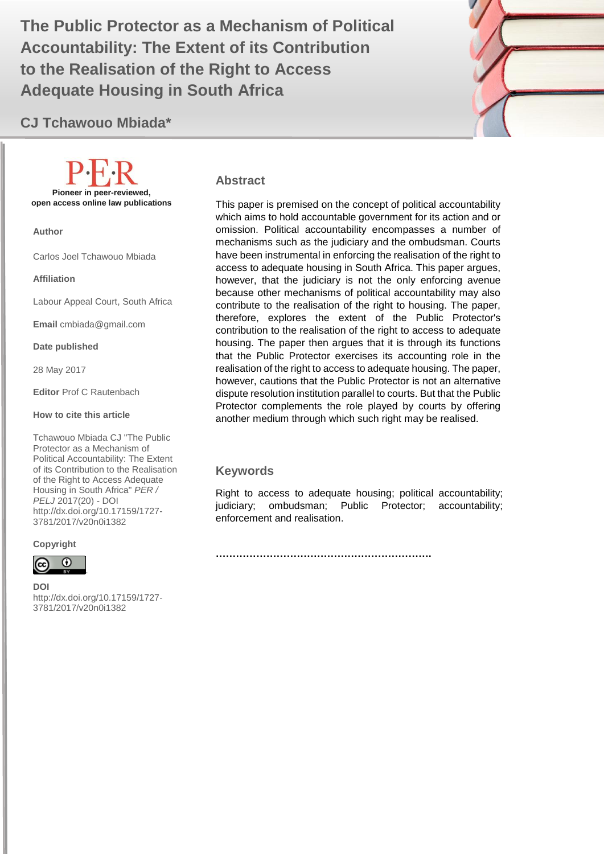Accountability: The Extent of its Contribution **1999 The Public Protector as a Mechanism of Political to the Realisation of the Right to Access Adequate Housing in South Africa**

# **CJ Tchawouo Mbiada\***

**Pioneer in peer-reviewed, open access online law publications**

**Author**

Carlos Joel Tchawouo Mbiada

**Affiliation**

Labour Appeal Court, South Africa

**Email** cmbiada@gmail.com

**Date published**

28 May 2017

**Editor** Prof C Rautenbach

#### **How to cite this article**

Tchawouo Mbiada CJ "The Public Protector as a Mechanism of Political Accountability: The Extent of its Contribution to the Realisation of the Right to Access Adequate Housing in South Africa" *PER / PELJ* 2017(20) - DOI http://dx.doi.org/10.17159/1727- 3781/2017/v20n[0i1382](http://journals.assaf.org.za/index.php/per/editor/submission/1160)

#### **Copyright**



**DOI**  http://dx.doi.org/10.17159/1727- 3781/2017/v20n[0i1382](http://journals.assaf.org.za/index.php/per/editor/submission/1160)

.

#### **Abstract**

This paper is premised on the concept of political accountability which aims to hold accountable government for its action and or omission. Political accountability encompasses a number of mechanisms such as the judiciary and the ombudsman. Courts have been instrumental in enforcing the realisation of the right to access to adequate housing in South Africa. This paper argues, however, that the judiciary is not the only enforcing avenue because other mechanisms of political accountability may also contribute to the realisation of the right to housing. The paper, therefore, explores the extent of the Public Protector's contribution to the realisation of the right to access to adequate housing. The paper then argues that it is through its functions that the Public Protector exercises its accounting role in the realisation of the right to access to adequate housing. The paper, however, cautions that the Public Protector is not an alternative dispute resolution institution parallel to courts. But that the Public Protector complements the role played by courts by offering another medium through which such right may be realised.

#### **Keywords**

Right to access to adequate housing; political accountability; judiciary; ombudsman; Public Protector; accountability; enforcement and realisation.

**……………………………………………………….**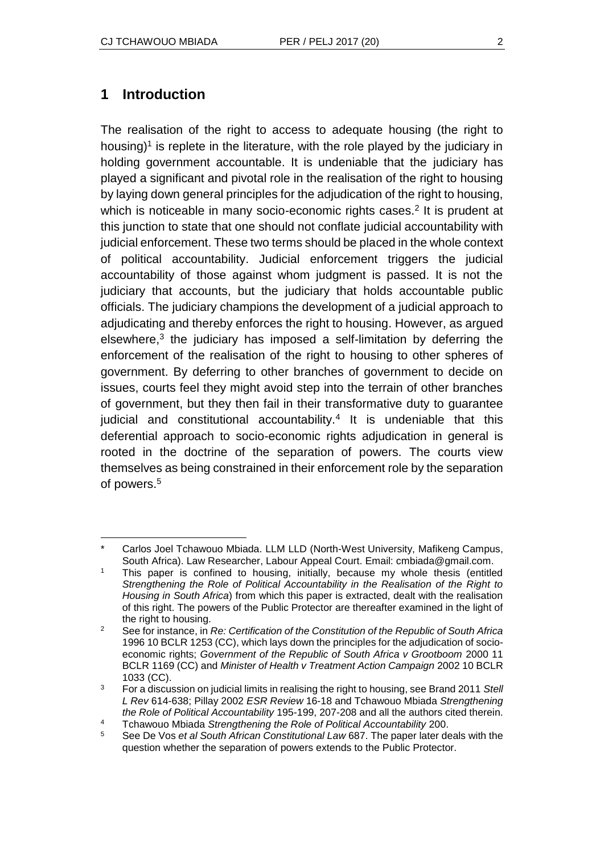## **1 Introduction**

The realisation of the right to access to adequate housing (the right to housing)<sup>1</sup> is replete in the literature, with the role played by the judiciary in holding government accountable. It is undeniable that the judiciary has played a significant and pivotal role in the realisation of the right to housing by laying down general principles for the adjudication of the right to housing, which is noticeable in many socio-economic rights cases.<sup>2</sup> It is prudent at this junction to state that one should not conflate judicial accountability with judicial enforcement. These two terms should be placed in the whole context of political accountability. Judicial enforcement triggers the judicial accountability of those against whom judgment is passed. It is not the judiciary that accounts, but the judiciary that holds accountable public officials. The judiciary champions the development of a judicial approach to adjudicating and thereby enforces the right to housing. However, as argued elsewhere, $3$  the judiciary has imposed a self-limitation by deferring the enforcement of the realisation of the right to housing to other spheres of government. By deferring to other branches of government to decide on issues, courts feel they might avoid step into the terrain of other branches of government, but they then fail in their transformative duty to guarantee judicial and constitutional accountability.<sup>4</sup> It is undeniable that this deferential approach to socio-economic rights adjudication in general is rooted in the doctrine of the separation of powers. The courts view themselves as being constrained in their enforcement role by the separation of powers. 5

l Carlos Joel Tchawouo Mbiada. LLM LLD (North-West University, Mafikeng Campus, South Africa). Law Researcher, Labour Appeal Court. Email: cmbiada@gmail.com.

<sup>&</sup>lt;sup>1</sup> This paper is confined to housing, initially, because my whole thesis (entitled *Strengthening the Role of Political Accountability in the Realisation of the Right to Housing in South Africa*) from which this paper is extracted, dealt with the realisation of this right. The powers of the Public Protector are thereafter examined in the light of the right to housing.

<sup>2</sup> See for instance, in *Re: Certification of the Constitution of the Republic of South Africa* 1996 10 BCLR 1253 (CC), which lays down the principles for the adjudication of socioeconomic rights; *Government of the Republic of South Africa v Grootboom* 2000 11 BCLR 1169 (CC) and *Minister of Health v Treatment Action Campaign* 2002 10 BCLR 1033 (CC).

<sup>3</sup> For a discussion on judicial limits in realising the right to housing, see Brand 2011 *Stell L Rev* 614-638; Pillay 2002 *ESR Review* 16-18 and Tchawouo Mbiada *Strengthening the Role of Political Accountability* 195-199, 207-208 and all the authors cited therein.

<sup>4</sup> Tchawouo Mbiada *Strengthening the Role of Political Accountability* 200.

<sup>5</sup> See De Vos *et al South African Constitutional Law* 687. The paper later deals with the question whether the separation of powers extends to the Public Protector.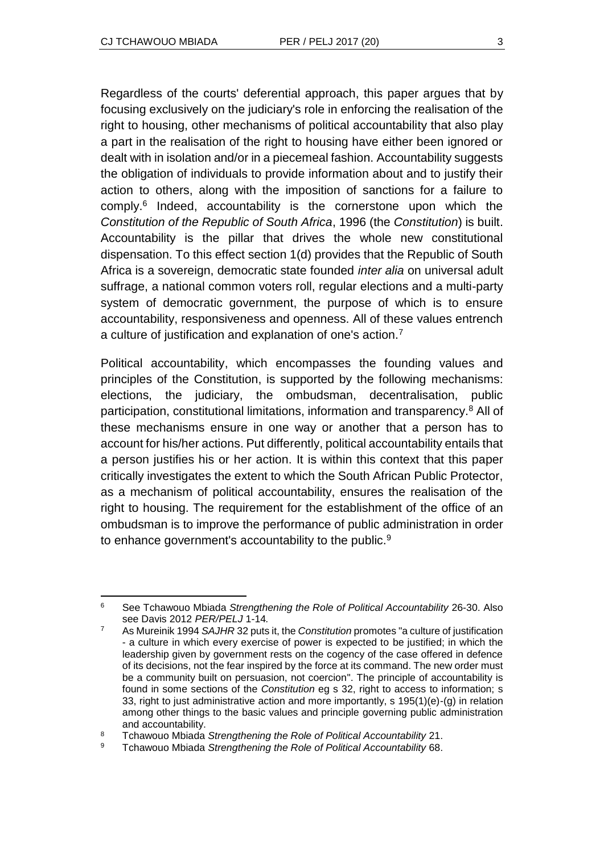Regardless of the courts' deferential approach, this paper argues that by focusing exclusively on the judiciary's role in enforcing the realisation of the right to housing, other mechanisms of political accountability that also play a part in the realisation of the right to housing have either been ignored or dealt with in isolation and/or in a piecemeal fashion. Accountability suggests the obligation of individuals to provide information about and to justify their action to others, along with the imposition of sanctions for a failure to comply.<sup>6</sup> Indeed, accountability is the cornerstone upon which the *Constitution of the Republic of South Africa*, 1996 (the *Constitution*) is built. Accountability is the pillar that drives the whole new constitutional dispensation. To this effect section 1(d) provides that the Republic of South Africa is a sovereign, democratic state founded *inter alia* on universal adult suffrage, a national common voters roll, regular elections and a multi-party system of democratic government, the purpose of which is to ensure accountability, responsiveness and openness. All of these values entrench a culture of justification and explanation of one's action.<sup>7</sup>

Political accountability, which encompasses the founding values and principles of the Constitution, is supported by the following mechanisms: elections, the judiciary, the ombudsman, decentralisation, public participation, constitutional limitations, information and transparency.<sup>8</sup> All of these mechanisms ensure in one way or another that a person has to account for his/her actions. Put differently, political accountability entails that a person justifies his or her action. It is within this context that this paper critically investigates the extent to which the South African Public Protector, as a mechanism of political accountability, ensures the realisation of the right to housing. The requirement for the establishment of the office of an ombudsman is to improve the performance of public administration in order to enhance government's accountability to the public.<sup>9</sup>

l <sup>6</sup> See Tchawouo Mbiada *Strengthening the Role of Political Accountability* 26-30. Also see Davis 2012 *PER/PELJ* 1-14*.* 

<sup>7</sup> As Mureinik 1994 *SAJHR* 32 puts it, the *Constitution* promotes "a culture of justification - a culture in which every exercise of power is expected to be justified; in which the leadership given by government rests on the cogency of the case offered in defence of its decisions, not the fear inspired by the force at its command. The new order must be a community built on persuasion, not coercion". The principle of accountability is found in some sections of the *Constitution* eg s 32, right to access to information; s 33, right to just administrative action and more importantly, s 195(1)(e)-(g) in relation among other things to the basic values and principle governing public administration and accountability.

<sup>8</sup> Tchawouo Mbiada *Strengthening the Role of Political Accountability* 21.

<sup>9</sup> Tchawouo Mbiada *Strengthening the Role of Political Accountability* 68.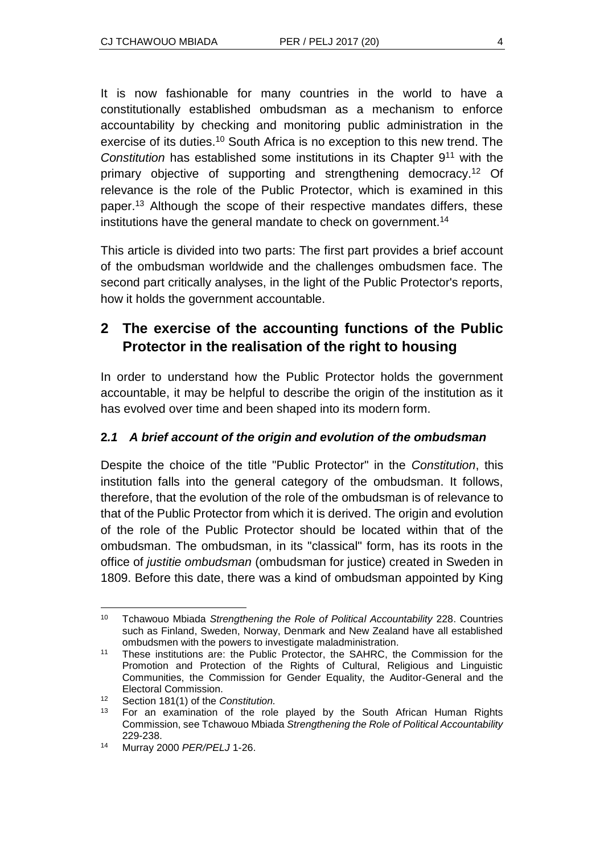It is now fashionable for many countries in the world to have a constitutionally established ombudsman as a mechanism to enforce accountability by checking and monitoring public administration in the exercise of its duties.<sup>10</sup> South Africa is no exception to this new trend. The *Constitution* has established some institutions in its Chapter 9<sup>11</sup> with the primary objective of supporting and strengthening democracy.<sup>12</sup> Of relevance is the role of the Public Protector, which is examined in this paper.<sup>13</sup> Although the scope of their respective mandates differs, these institutions have the general mandate to check on government.<sup>14</sup>

This article is divided into two parts: The first part provides a brief account of the ombudsman worldwide and the challenges ombudsmen face. The second part critically analyses, in the light of the Public Protector's reports, how it holds the government accountable.

# **2 The exercise of the accounting functions of the Public Protector in the realisation of the right to housing**

In order to understand how the Public Protector holds the government accountable, it may be helpful to describe the origin of the institution as it has evolved over time and been shaped into its modern form.

## **2***.1 A brief account of the origin and evolution of the ombudsman*

Despite the choice of the title "Public Protector" in the *Constitution*, this institution falls into the general category of the ombudsman. It follows, therefore, that the evolution of the role of the ombudsman is of relevance to that of the Public Protector from which it is derived. The origin and evolution of the role of the Public Protector should be located within that of the ombudsman. The ombudsman, in its "classical" form, has its roots in the office of *justitie ombudsman* (ombudsman for justice) created in Sweden in 1809. Before this date, there was a kind of ombudsman appointed by King

 $\overline{a}$ <sup>10</sup> Tchawouo Mbiada *Strengthening the Role of Political Accountability* 228. Countries such as Finland, Sweden, Norway, Denmark and New Zealand have all established ombudsmen with the powers to investigate maladministration.

<sup>11</sup> These institutions are: the Public Protector, the SAHRC, the Commission for the Promotion and Protection of the Rights of Cultural, Religious and Linguistic Communities, the Commission for Gender Equality, the Auditor-General and the Electoral Commission.

<sup>12</sup> Section 181(1) of the *Constitution.*

<sup>&</sup>lt;sup>13</sup> For an examination of the role played by the South African Human Rights Commission, see Tchawouo Mbiada *Strengthening the Role of Political Accountability* 229-238.

<sup>14</sup> Murray 2000 *PER/PELJ* 1-26.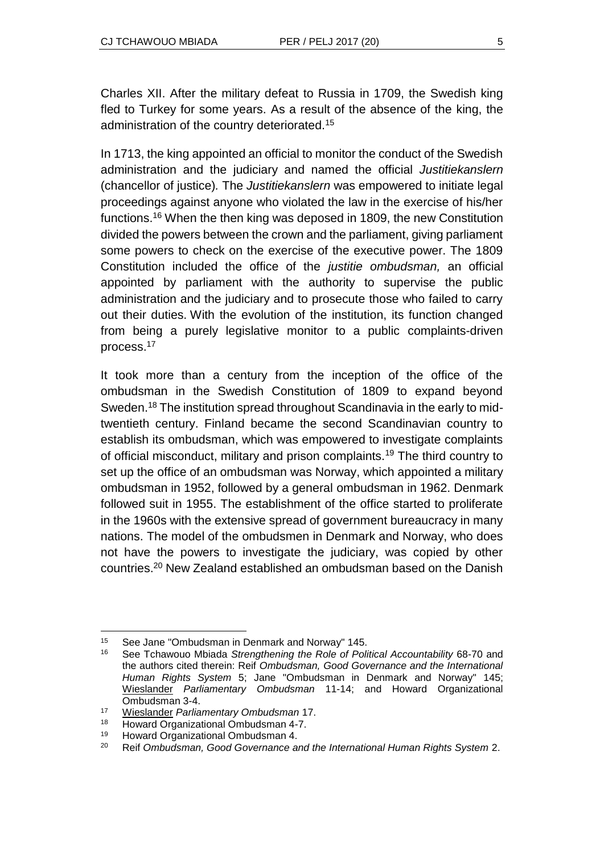Charles XII. After the military defeat to Russia in 1709, the Swedish king fled to Turkey for some years. As a result of the absence of the king, the administration of the country deteriorated.<sup>15</sup>

In 1713, the king appointed an official to monitor the conduct of the Swedish administration and the judiciary and named the official *Justitiekanslern*  (chancellor of justice)*.* The *Justitiekanslern* was empowered to initiate legal proceedings against anyone who violated the law in the exercise of his/her functions.<sup>16</sup> When the then king was deposed in 1809, the new Constitution divided the powers between the crown and the parliament, giving parliament some powers to check on the exercise of the executive power. The 1809 Constitution included the office of the *justitie ombudsman,* an official appointed by parliament with the authority to supervise the public administration and the judiciary and to prosecute those who failed to carry out their duties. With the evolution of the institution, its function changed from being a purely legislative monitor to a public complaints-driven process.<sup>17</sup>

It took more than a century from the inception of the office of the ombudsman in the Swedish Constitution of 1809 to expand beyond Sweden.<sup>18</sup> The institution spread throughout Scandinavia in the early to midtwentieth century. Finland became the second Scandinavian country to establish its ombudsman, which was empowered to investigate complaints of official misconduct, military and prison complaints.<sup>19</sup> The third country to set up the office of an ombudsman was Norway, which appointed a military ombudsman in 1952, followed by a general ombudsman in 1962. Denmark followed suit in 1955. The establishment of the office started to proliferate in the 1960s with the extensive spread of government bureaucracy in many nations. The model of the ombudsmen in Denmark and Norway, who does not have the powers to investigate the judiciary, was copied by other countries.<sup>20</sup> New Zealand established an ombudsman based on the Danish

l <sup>15</sup> See Jane "Ombudsman in Denmark and Norway" 145.<br><sup>16</sup> See Tebawaye Mbiade Strengthening the Pole of Poli

<sup>16</sup> See Tchawouo Mbiada *Strengthening the Role of Political Accountability* 68-70 and the authors cited therein: Reif *Ombudsman, Good Governance and the International Human Rights System* 5; Jane "Ombudsman in Denmark and Norway" 145; [Wieslander](http://www.google.co.za/search?tbo=p&tbm=bks&q=inauthor:%22Bengt+Wieslander%22) *Parliamentary Ombudsman* 11-14; and Howard Organizational Ombudsman 3-4.

<sup>17</sup> [Wieslander](http://www.google.co.za/search?tbo=p&tbm=bks&q=inauthor:%22Bengt+Wieslander%22) *Parliamentary Ombudsman* 17.

<sup>18</sup> Howard Organizational Ombudsman 4-7.

<sup>19</sup> Howard Organizational Ombudsman 4.

<sup>20</sup> Reif *Ombudsman, Good Governance and the International Human Rights System* 2.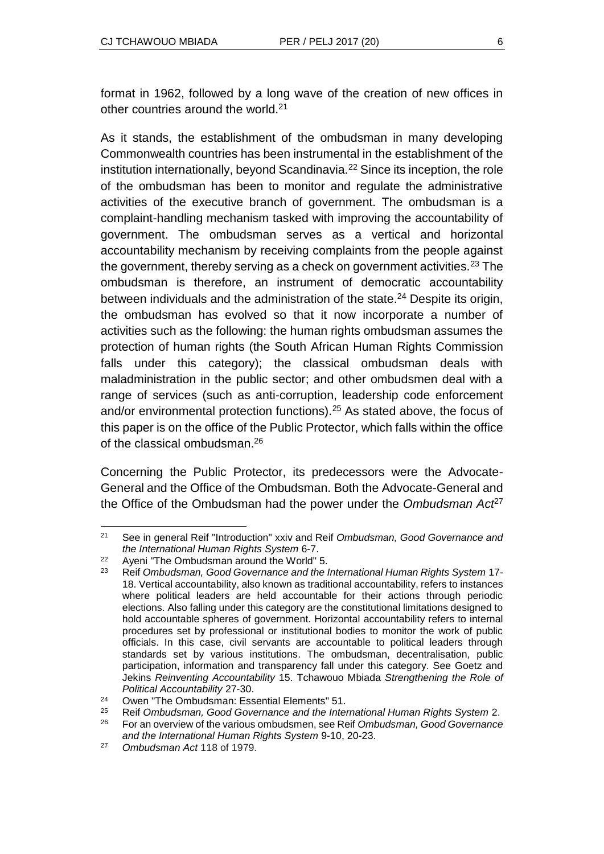format in 1962, followed by a long wave of the creation of new offices in other countries around the world.<sup>21</sup>

As it stands, the establishment of the ombudsman in many developing Commonwealth countries has been instrumental in the establishment of the institution internationally, beyond Scandinavia.<sup>22</sup> Since its inception, the role of the ombudsman has been to monitor and regulate the administrative activities of the executive branch of government. The ombudsman is a complaint-handling mechanism tasked with improving the accountability of government. The ombudsman serves as a vertical and horizontal accountability mechanism by receiving complaints from the people against the government, thereby serving as a check on government activities.<sup>23</sup> The ombudsman is therefore, an instrument of democratic accountability between individuals and the administration of the state.<sup>24</sup> Despite its origin, the ombudsman has evolved so that it now incorporate a number of activities such as the following: the human rights ombudsman assumes the protection of human rights (the South African Human Rights Commission falls under this category); the classical ombudsman deals with maladministration in the public sector; and other ombudsmen deal with a range of services (such as anti-corruption, leadership code enforcement and/or environmental protection functions).<sup>25</sup> As stated above, the focus of this paper is on the office of the Public Protector, which falls within the office of the classical ombudsman.<sup>26</sup>

Concerning the Public Protector, its predecessors were the Advocate-General and the Office of the Ombudsman. Both the Advocate-General and the Office of the Ombudsman had the power under the *Ombudsman Act*<sup>27</sup>

 $21$ <sup>21</sup> See in general Reif "Introduction" xxiv and Reif *Ombudsman, Good Governance and the International Human Rights System* 6-7.

<sup>&</sup>lt;sup>22</sup> Aveni "The Ombudsman around the World" 5.

<sup>23</sup> Reif *Ombudsman, Good Governance and the International Human Rights System* 17- 18. Vertical accountability, also known as traditional accountability, refers to instances where political leaders are held accountable for their actions through periodic elections. Also falling under this category are the constitutional limitations designed to hold accountable spheres of government. Horizontal accountability refers to internal procedures set by professional or institutional bodies to monitor the work of public officials. In this case, civil servants are accountable to political leaders through standards set by various institutions. The ombudsman, decentralisation, public participation, information and transparency fall under this category. See Goetz and Jekins *Reinventing Accountability* 15. Tchawouo Mbiada *Strengthening the Role of Political Accountability* 27-30.

<sup>24</sup> Owen "The Ombudsman: Essential Elements" 51.

<sup>25</sup> Reif *Ombudsman, Good Governance and the International Human Rights System* 2.

<sup>26</sup> For an overview of the various ombudsmen, see Reif *Ombudsman, Good Governance and the International Human Rights System* 9-10, 20-23.

<sup>27</sup> *Ombudsman Act* 118 of 1979.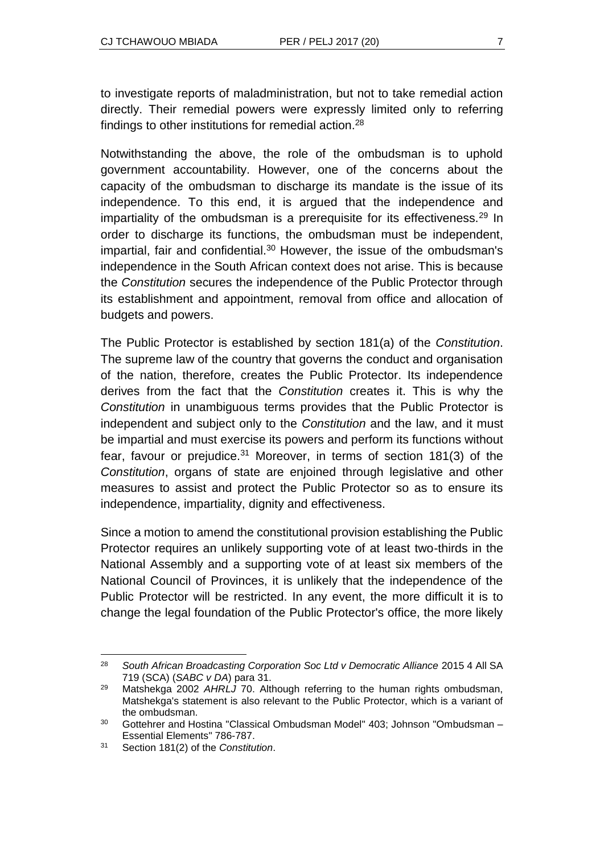to investigate reports of maladministration, but not to take remedial action directly. Their remedial powers were expressly limited only to referring findings to other institutions for remedial action.<sup>28</sup>

Notwithstanding the above, the role of the ombudsman is to uphold government accountability. However, one of the concerns about the capacity of the ombudsman to discharge its mandate is the issue of its independence. To this end, it is argued that the independence and impartiality of the ombudsman is a prerequisite for its effectiveness.<sup>29</sup> In order to discharge its functions, the ombudsman must be independent, impartial, fair and confidential.<sup>30</sup> However, the issue of the ombudsman's independence in the South African context does not arise. This is because the *Constitution* secures the independence of the Public Protector through its establishment and appointment, removal from office and allocation of budgets and powers.

The Public Protector is established by section 181(a) of the *Constitution*. The supreme law of the country that governs the conduct and organisation of the nation, therefore, creates the Public Protector. Its independence derives from the fact that the *Constitution* creates it. This is why the *Constitution* in unambiguous terms provides that the Public Protector is independent and subject only to the *Constitution* and the law, and it must be impartial and must exercise its powers and perform its functions without fear, favour or prejudice. $31$  Moreover, in terms of section 181(3) of the *Constitution*, organs of state are enjoined through legislative and other measures to assist and protect the Public Protector so as to ensure its independence, impartiality, dignity and effectiveness.

Since a motion to amend the constitutional provision establishing the Public Protector requires an unlikely supporting vote of at least two-thirds in the National Assembly and a supporting vote of at least six members of the National Council of Provinces, it is unlikely that the independence of the Public Protector will be restricted. In any event, the more difficult it is to change the legal foundation of the Public Protector's office, the more likely

l <sup>28</sup> South African Broadcasting Corporation Soc Ltd v Democratic Alliance 2015 4 All SA 719 (SCA) (*SABC v DA*) para 31.

<sup>29</sup> Matshekga 2002 *AHRLJ* 70. Although referring to the human rights ombudsman, Matshekga's statement is also relevant to the Public Protector, which is a variant of the ombudsman.

<sup>&</sup>lt;sup>30</sup> Gottehrer and Hostina "Classical Ombudsman Model" 403; Johnson "Ombudsman – Essential Elements" 786-787.

<sup>31</sup> Section 181(2) of the *Constitution*.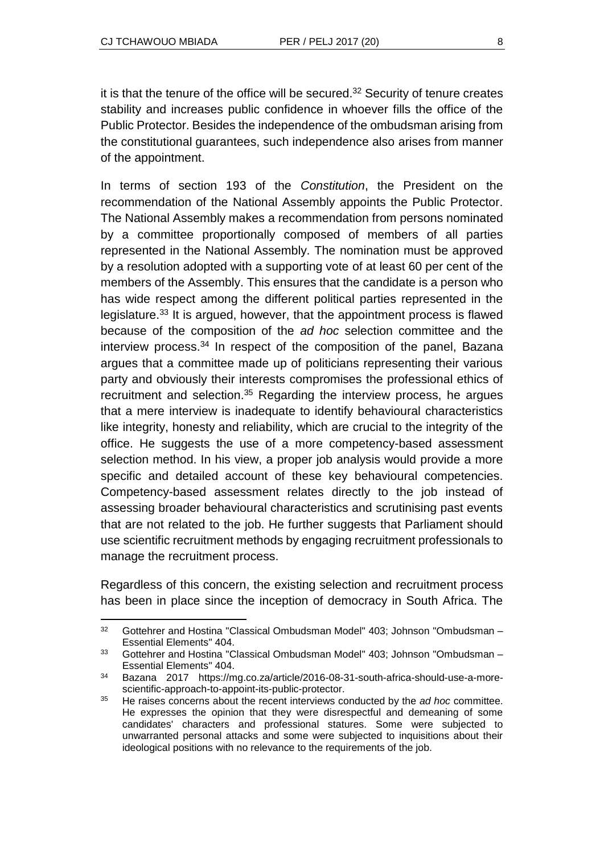l

it is that the tenure of the office will be secured.<sup>32</sup> Security of tenure creates stability and increases public confidence in whoever fills the office of the Public Protector. Besides the independence of the ombudsman arising from the constitutional guarantees, such independence also arises from manner of the appointment.

In terms of section 193 of the *Constitution*, the President on the recommendation of the National Assembly appoints the Public Protector. The National Assembly makes a recommendation from persons nominated by a committee proportionally composed of members of all parties represented in the National Assembly. The nomination must be approved by a resolution adopted with a supporting vote of at least 60 per cent of the members of the Assembly. This ensures that the candidate is a person who has wide respect among the different political parties represented in the legislature.<sup>33</sup> It is argued, however, that the appointment process is flawed because of the composition of the *ad hoc* selection committee and the interview process.<sup>34</sup> In respect of the composition of the panel, Bazana argues that a committee made up of politicians representing their various party and obviously their interests compromises the professional ethics of recruitment and selection.<sup>35</sup> Regarding the interview process, he argues that a mere interview is inadequate to identify behavioural characteristics like integrity, honesty and reliability, which are crucial to the integrity of the office. He suggests the use of a more competency-based assessment selection method. In his view, a proper job analysis would provide a more specific and detailed account of these key behavioural competencies. Competency-based assessment relates directly to the job instead of assessing broader behavioural characteristics and scrutinising past events that are not related to the job. He further suggests that Parliament should use scientific recruitment methods by engaging recruitment professionals to manage the recruitment process.

Regardless of this concern, the existing selection and recruitment process has been in place since the inception of democracy in South Africa. The

 $32$  Gottehrer and Hostina "Classical Ombudsman Model" 403; Johnson "Ombudsman – Essential Elements" 404.

 $33$  Gottehrer and Hostina "Classical Ombudsman Model" 403; Johnson "Ombudsman – Essential Elements" 404.

<sup>34</sup> Bazana 2017 https://mg.co.za/article/2016-08-31-south-africa-should-use-a-morescientific-approach-to-appoint-its-public-protector.

<sup>35</sup> He raises concerns about the recent interviews conducted by the *ad hoc* committee. He expresses the opinion that they were disrespectful and demeaning of some candidates' characters and professional statures. Some were subjected to unwarranted personal attacks and some were subjected to inquisitions about their ideological positions with no relevance to the requirements of the job.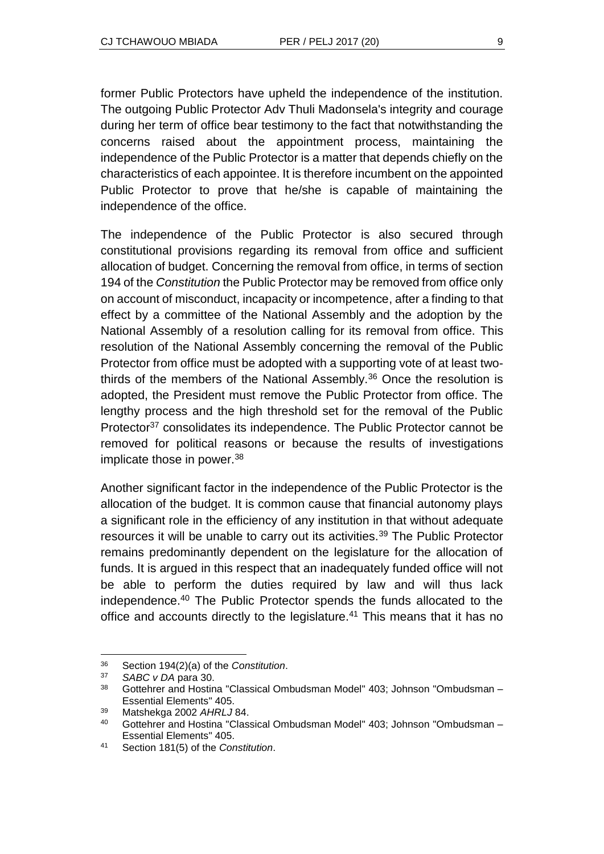former Public Protectors have upheld the independence of the institution. The outgoing Public Protector Adv Thuli Madonsela's integrity and courage during her term of office bear testimony to the fact that notwithstanding the concerns raised about the appointment process, maintaining the independence of the Public Protector is a matter that depends chiefly on the characteristics of each appointee. It is therefore incumbent on the appointed Public Protector to prove that he/she is capable of maintaining the independence of the office.

The independence of the Public Protector is also secured through constitutional provisions regarding its removal from office and sufficient allocation of budget. Concerning the removal from office, in terms of section 194 of the *Constitution* the Public Protector may be removed from office only on account of misconduct, incapacity or incompetence, after a finding to that effect by a committee of the National Assembly and the adoption by the National Assembly of a resolution calling for its removal from office. This resolution of the National Assembly concerning the removal of the Public Protector from office must be adopted with a supporting vote of at least twothirds of the members of the National Assembly.<sup>36</sup> Once the resolution is adopted, the President must remove the Public Protector from office. The lengthy process and the high threshold set for the removal of the Public Protector<sup>37</sup> consolidates its independence. The Public Protector cannot be removed for political reasons or because the results of investigations implicate those in power.<sup>38</sup>

Another significant factor in the independence of the Public Protector is the allocation of the budget. It is common cause that financial autonomy plays a significant role in the efficiency of any institution in that without adequate resources it will be unable to carry out its activities.<sup>39</sup> The Public Protector remains predominantly dependent on the legislature for the allocation of funds. It is argued in this respect that an inadequately funded office will not be able to perform the duties required by law and will thus lack independence.<sup>40</sup> The Public Protector spends the funds allocated to the office and accounts directly to the legislature.<sup>41</sup> This means that it has no

l

<sup>36</sup> Section 194(2)(a) of the *Constitution*.

<sup>37</sup> *SABC v DA* para 30.

<sup>38</sup> Gottehrer and Hostina "Classical Ombudsman Model" 403; Johnson "Ombudsman – Essential Elements" 405.

<sup>39</sup> Matshekga 2002 *AHRLJ* 84.

<sup>40</sup> Gottehrer and Hostina "Classical Ombudsman Model" 403; Johnson "Ombudsman – Essential Elements" 405.

<sup>41</sup> Section 181(5) of the *Constitution*.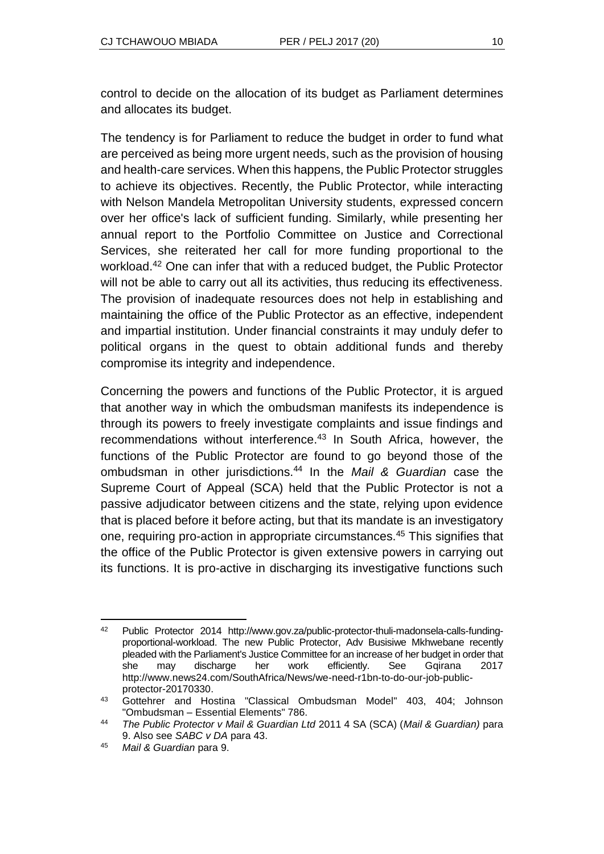control to decide on the allocation of its budget as Parliament determines and allocates its budget.

The tendency is for Parliament to reduce the budget in order to fund what are perceived as being more urgent needs, such as the provision of housing and health-care services. When this happens, the Public Protector struggles to achieve its objectives. Recently, the Public Protector, while interacting with Nelson Mandela Metropolitan University students, expressed concern over her office's lack of sufficient funding. Similarly, while presenting her annual report to the Portfolio Committee on Justice and Correctional Services, she reiterated her call for more funding proportional to the workload.<sup>42</sup> One can infer that with a reduced budget, the Public Protector will not be able to carry out all its activities, thus reducing its effectiveness. The provision of inadequate resources does not help in establishing and maintaining the office of the Public Protector as an effective, independent and impartial institution. Under financial constraints it may unduly defer to political organs in the quest to obtain additional funds and thereby compromise its integrity and independence.

Concerning the powers and functions of the Public Protector, it is argued that another way in which the ombudsman manifests its independence is through its powers to freely investigate complaints and issue findings and recommendations without interference.<sup>43</sup> In South Africa, however, the functions of the Public Protector are found to go beyond those of the ombudsman in other jurisdictions.<sup>44</sup> In the *Mail & Guardian* case the Supreme Court of Appeal (SCA) held that the Public Protector is not a passive adjudicator between citizens and the state, relying upon evidence that is placed before it before acting, but that its mandate is an investigatory one, requiring pro-action in appropriate circumstances.<sup>45</sup> This signifies that the office of the Public Protector is given extensive powers in carrying out its functions. It is pro-active in discharging its investigative functions such

l <sup>42</sup> Public Protector 2014 http://www.gov.za/public-protector-thuli-madonsela-calls-fundingproportional-workload. The new Public Protector, Adv Busisiwe Mkhwebane recently pleaded with the Parliament's Justice Committee for an increase of her budget in order that she may discharge her work efficiently. See Ggirana 2017 http://www.news24.com/SouthAfrica/News/we-need-r1bn-to-do-our-job-publicprotector-20170330.

<sup>43</sup> Gottehrer and Hostina "Classical Ombudsman Model" 403, 404; Johnson "Ombudsman – Essential Elements" 786.

<sup>44</sup> *The Public Protector v Mail & Guardian Ltd* 2011 4 SA (SCA) (*Mail & Guardian)* para 9. Also see *SABC v DA* para 43.

<sup>45</sup> *Mail & Guardian* para 9.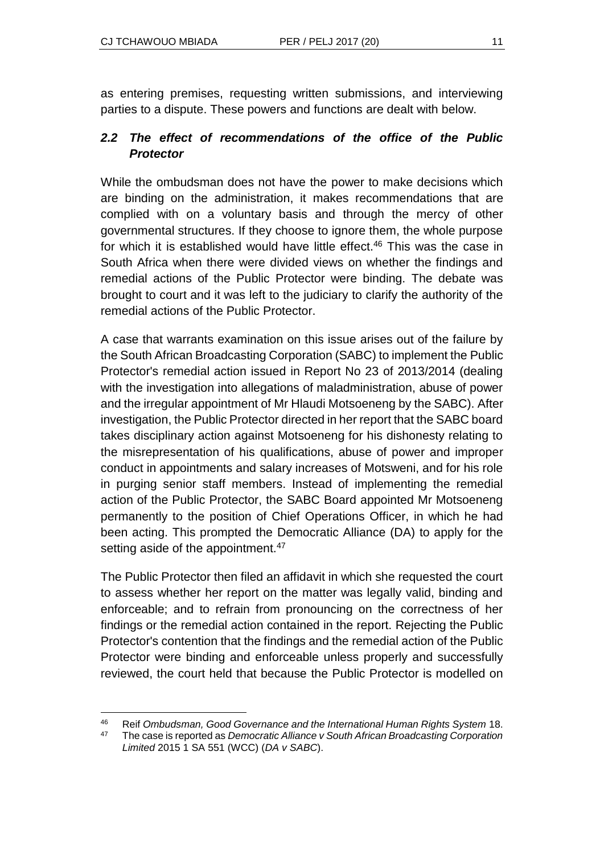$\overline{a}$ 

as entering premises, requesting written submissions, and interviewing parties to a dispute. These powers and functions are dealt with below.

#### *2.2 The effect of recommendations of the office of the Public Protector*

While the ombudsman does not have the power to make decisions which are binding on the administration, it makes recommendations that are complied with on a voluntary basis and through the mercy of other governmental structures. If they choose to ignore them, the whole purpose for which it is established would have little effect.<sup>46</sup> This was the case in South Africa when there were divided views on whether the findings and remedial actions of the Public Protector were binding. The debate was brought to court and it was left to the judiciary to clarify the authority of the remedial actions of the Public Protector.

A case that warrants examination on this issue arises out of the failure by the South African Broadcasting Corporation (SABC) to implement the Public Protector's remedial action issued in Report No 23 of 2013/2014 (dealing with the investigation into allegations of maladministration, abuse of power and the irregular appointment of Mr Hlaudi Motsoeneng by the SABC). After investigation, the Public Protector directed in her report that the SABC board takes disciplinary action against Motsoeneng for his dishonesty relating to the misrepresentation of his qualifications, abuse of power and improper conduct in appointments and salary increases of Motsweni, and for his role in purging senior staff members. Instead of implementing the remedial action of the Public Protector, the SABC Board appointed Mr Motsoeneng permanently to the position of Chief Operations Officer, in which he had been acting. This prompted the Democratic Alliance (DA) to apply for the setting aside of the appointment.<sup>47</sup>

The Public Protector then filed an affidavit in which she requested the court to assess whether her report on the matter was legally valid, binding and enforceable; and to refrain from pronouncing on the correctness of her findings or the remedial action contained in the report. Rejecting the Public Protector's contention that the findings and the remedial action of the Public Protector were binding and enforceable unless properly and successfully reviewed, the court held that because the Public Protector is modelled on

<sup>46</sup> Reif *Ombudsman, Good Governance and the International Human Rights System* 18.

<sup>47</sup> The case is reported as *Democratic Alliance v South African Broadcasting Corporation Limited* 2015 1 SA 551 (WCC) (*DA v SABC*).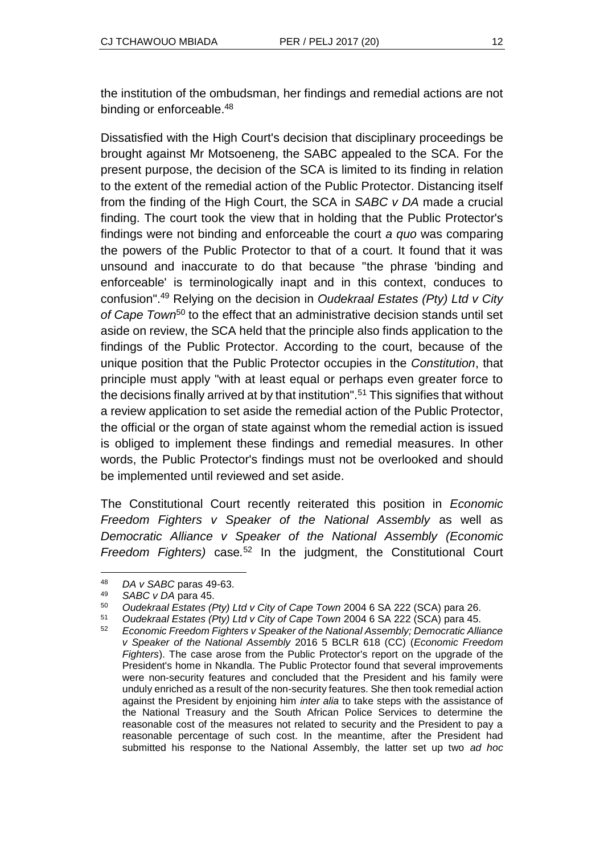the institution of the ombudsman, her findings and remedial actions are not binding or enforceable.<sup>48</sup>

Dissatisfied with the High Court's decision that disciplinary proceedings be brought against Mr Motsoeneng, the SABC appealed to the SCA. For the present purpose, the decision of the SCA is limited to its finding in relation to the extent of the remedial action of the Public Protector. Distancing itself from the finding of the High Court, the SCA in *SABC v DA* made a crucial finding. The court took the view that in holding that the Public Protector's findings were not binding and enforceable the court *a quo* was comparing the powers of the Public Protector to that of a court. It found that it was unsound and inaccurate to do that because "the phrase 'binding and enforceable' is terminologically inapt and in this context, conduces to confusion".<sup>49</sup> Relying on the decision in *Oudekraal Estates (Pty) Ltd v City of Cape Town*<sup>50</sup> to the effect that an administrative decision stands until set aside on review, the SCA held that the principle also finds application to the findings of the Public Protector. According to the court, because of the unique position that the Public Protector occupies in the *Constitution*, that principle must apply "with at least equal or perhaps even greater force to the decisions finally arrived at by that institution".<sup>51</sup> This signifies that without a review application to set aside the remedial action of the Public Protector, the official or the organ of state against whom the remedial action is issued is obliged to implement these findings and remedial measures. In other words, the Public Protector's findings must not be overlooked and should be implemented until reviewed and set aside.

The Constitutional Court recently reiterated this position in *Economic Freedom Fighters v Speaker of the National Assembly* as well as *Democratic Alliance v Speaker of the National Assembly (Economic Freedom Fighters)* case*.* <sup>52</sup> In the judgment, the Constitutional Court

l

<sup>51</sup> *Oudekraal Estates (Pty) Ltd v City of Cape Town* 2004 6 SA 222 (SCA) para 45.

<sup>48</sup> *DA v SABC* paras 49-63.

<sup>49</sup> *SABC v DA* para 45.

<sup>50</sup> *Oudekraal Estates (Pty) Ltd v City of Cape Town* 2004 6 SA 222 (SCA) para 26.

<sup>52</sup> *Economic Freedom Fighters v Speaker of the National Assembly; Democratic Alliance v Speaker of the National Assembly* 2016 5 BCLR 618 (CC) (*Economic Freedom Fighters*). The case arose from the Public Protector's report on the upgrade of the President's home in Nkandla. The Public Protector found that several improvements were non-security features and concluded that the President and his family were unduly enriched as a result of the non-security features. She then took remedial action against the President by enjoining him *inter alia* to take steps with the assistance of the National Treasury and the South African Police Services to determine the reasonable cost of the measures not related to security and the President to pay a reasonable percentage of such cost. In the meantime, after the President had submitted his response to the National Assembly, the latter set up two *ad hoc*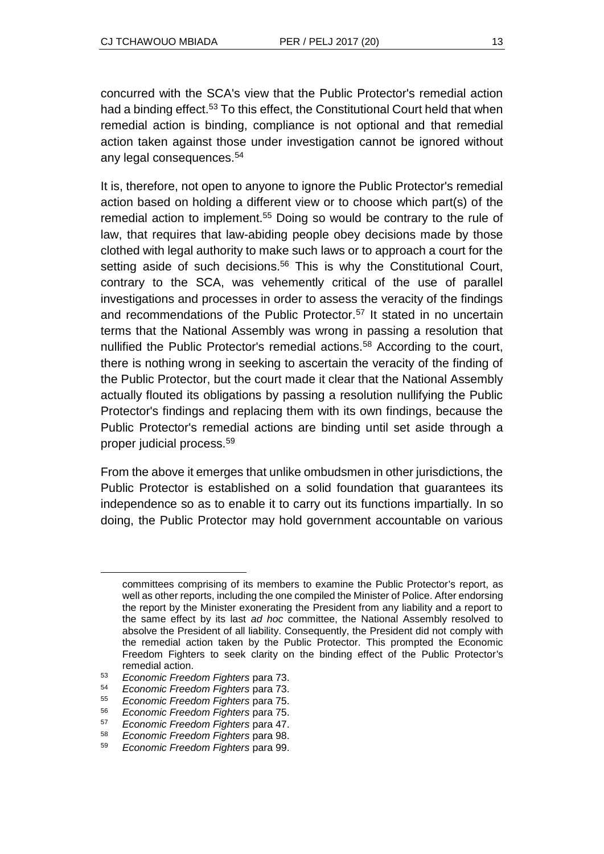concurred with the SCA's view that the Public Protector's remedial action had a binding effect.<sup>53</sup> To this effect, the Constitutional Court held that when remedial action is binding, compliance is not optional and that remedial action taken against those under investigation cannot be ignored without any legal consequences.<sup>54</sup>

It is, therefore, not open to anyone to ignore the Public Protector's remedial action based on holding a different view or to choose which part(s) of the remedial action to implement.<sup>55</sup> Doing so would be contrary to the rule of law, that requires that law-abiding people obey decisions made by those clothed with legal authority to make such laws or to approach a court for the setting aside of such decisions.<sup>56</sup> This is why the Constitutional Court, contrary to the SCA, was vehemently critical of the use of parallel investigations and processes in order to assess the veracity of the findings and recommendations of the Public Protector.<sup>57</sup> It stated in no uncertain terms that the National Assembly was wrong in passing a resolution that nullified the Public Protector's remedial actions.<sup>58</sup> According to the court, there is nothing wrong in seeking to ascertain the veracity of the finding of the Public Protector, but the court made it clear that the National Assembly actually flouted its obligations by passing a resolution nullifying the Public Protector's findings and replacing them with its own findings, because the Public Protector's remedial actions are binding until set aside through a proper judicial process.<sup>59</sup>

From the above it emerges that unlike ombudsmen in other jurisdictions, the Public Protector is established on a solid foundation that guarantees its independence so as to enable it to carry out its functions impartially. In so doing, the Public Protector may hold government accountable on various

l

committees comprising of its members to examine the Public Protector's report, as well as other reports, including the one compiled the Minister of Police. After endorsing the report by the Minister exonerating the President from any liability and a report to the same effect by its last *ad hoc* committee, the National Assembly resolved to absolve the President of all liability. Consequently, the President did not comply with the remedial action taken by the Public Protector. This prompted the Economic Freedom Fighters to seek clarity on the binding effect of the Public Protector's remedial action.

<sup>53</sup> *Economic Freedom Fighters* para 73.

<sup>54</sup> *Economic Freedom Fighters* para 73.

<sup>55</sup> *Economic Freedom Fighters* para 75.

<sup>56</sup> *Economic Freedom Fighters* para 75.

<sup>57</sup> *Economic Freedom Fighters* para 47.

<sup>58</sup> *Economic Freedom Fighters* para 98.

<sup>59</sup> *Economic Freedom Fighters* para 99.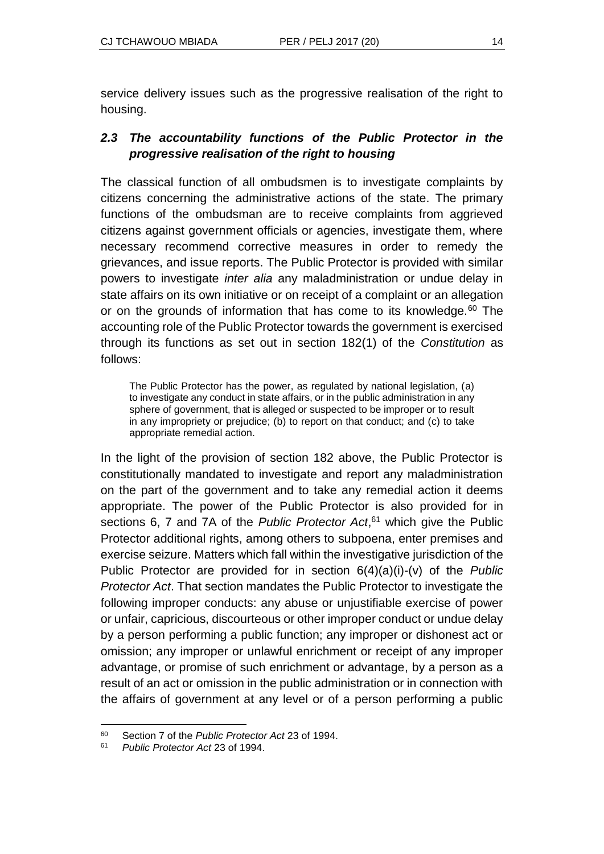service delivery issues such as the progressive realisation of the right to housing.

## *2.3 The accountability functions of the Public Protector in the progressive realisation of the right to housing*

The classical function of all ombudsmen is to investigate complaints by citizens concerning the administrative actions of the state. The primary functions of the ombudsman are to receive complaints from aggrieved citizens against government officials or agencies, investigate them, where necessary recommend corrective measures in order to remedy the grievances, and issue reports. The Public Protector is provided with similar powers to investigate *inter alia* any maladministration or undue delay in state affairs on its own initiative or on receipt of a complaint or an allegation or on the grounds of information that has come to its knowledge.<sup>60</sup> The accounting role of the Public Protector towards the government is exercised through its functions as set out in section 182(1) of the *Constitution* as follows:

The Public Protector has the power, as regulated by national legislation, (a) to investigate any conduct in state affairs, or in the public administration in any sphere of government, that is alleged or suspected to be improper or to result in any impropriety or prejudice; (b) to report on that conduct; and (c) to take appropriate remedial action.

In the light of the provision of section 182 above, the Public Protector is constitutionally mandated to investigate and report any maladministration on the part of the government and to take any remedial action it deems appropriate. The power of the Public Protector is also provided for in sections 6, 7 and 7A of the *Public Protector Act*, <sup>61</sup> which give the Public Protector additional rights, among others to subpoena, enter premises and exercise seizure. Matters which fall within the investigative jurisdiction of the Public Protector are provided for in section 6(4)(a)(i)-(v) of the *Public Protector Act*. That section mandates the Public Protector to investigate the following improper conducts: any abuse or unjustifiable exercise of power or unfair, capricious, discourteous or other improper conduct or undue delay by a person performing a public function; any improper or dishonest act or omission; any improper or unlawful enrichment or receipt of any improper advantage, or promise of such enrichment or advantage, by a person as a result of an act or omission in the public administration or in connection with the affairs of government at any level or of a person performing a public

l <sup>60</sup> Section 7 of the *Public Protector Act* 23 of 1994.

<sup>61</sup> *Public Protector Act* 23 of 1994.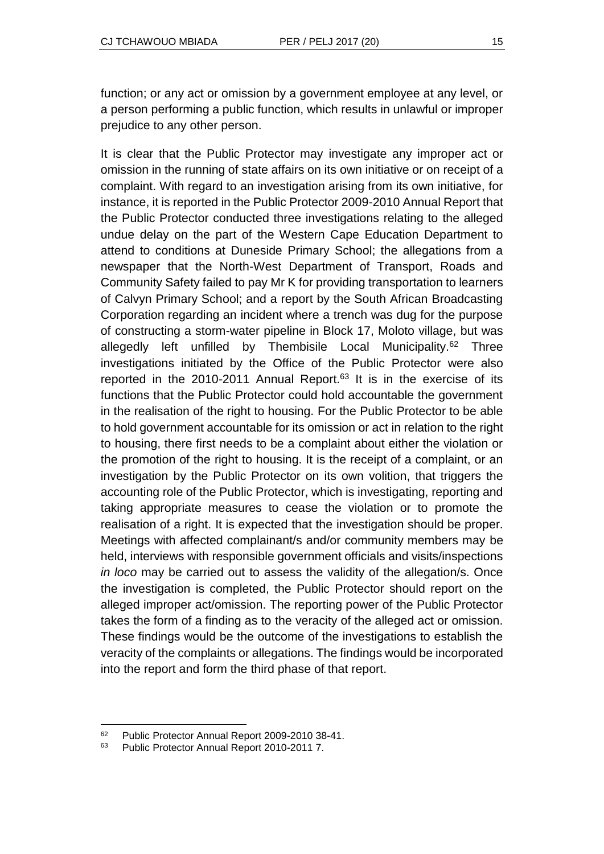function; or any act or omission by a government employee at any level, or a person performing a public function, which results in unlawful or improper prejudice to any other person.

It is clear that the Public Protector may investigate any improper act or omission in the running of state affairs on its own initiative or on receipt of a complaint. With regard to an investigation arising from its own initiative, for instance, it is reported in the Public Protector 2009-2010 Annual Report that the Public Protector conducted three investigations relating to the alleged undue delay on the part of the Western Cape Education Department to attend to conditions at Duneside Primary School; the allegations from a newspaper that the North-West Department of Transport, Roads and Community Safety failed to pay Mr K for providing transportation to learners of Calvyn Primary School; and a report by the South African Broadcasting Corporation regarding an incident where a trench was dug for the purpose of constructing a storm-water pipeline in Block 17, Moloto village, but was allegedly left unfilled by Thembisile Local Municipality.<sup>62</sup> Three investigations initiated by the Office of the Public Protector were also reported in the 2010-2011 Annual Report. $63$  It is in the exercise of its functions that the Public Protector could hold accountable the government in the realisation of the right to housing. For the Public Protector to be able to hold government accountable for its omission or act in relation to the right to housing, there first needs to be a complaint about either the violation or the promotion of the right to housing. It is the receipt of a complaint, or an investigation by the Public Protector on its own volition, that triggers the accounting role of the Public Protector, which is investigating, reporting and taking appropriate measures to cease the violation or to promote the realisation of a right. It is expected that the investigation should be proper. Meetings with affected complainant/s and/or community members may be held, interviews with responsible government officials and visits/inspections *in loco* may be carried out to assess the validity of the allegation/s. Once the investigation is completed, the Public Protector should report on the alleged improper act/omission. The reporting power of the Public Protector takes the form of a finding as to the veracity of the alleged act or omission. These findings would be the outcome of the investigations to establish the veracity of the complaints or allegations. The findings would be incorporated into the report and form the third phase of that report.

l

<sup>62</sup> Public Protector Annual Report 2009-2010 38-41.

<sup>63</sup> Public Protector Annual Report 2010-2011 7.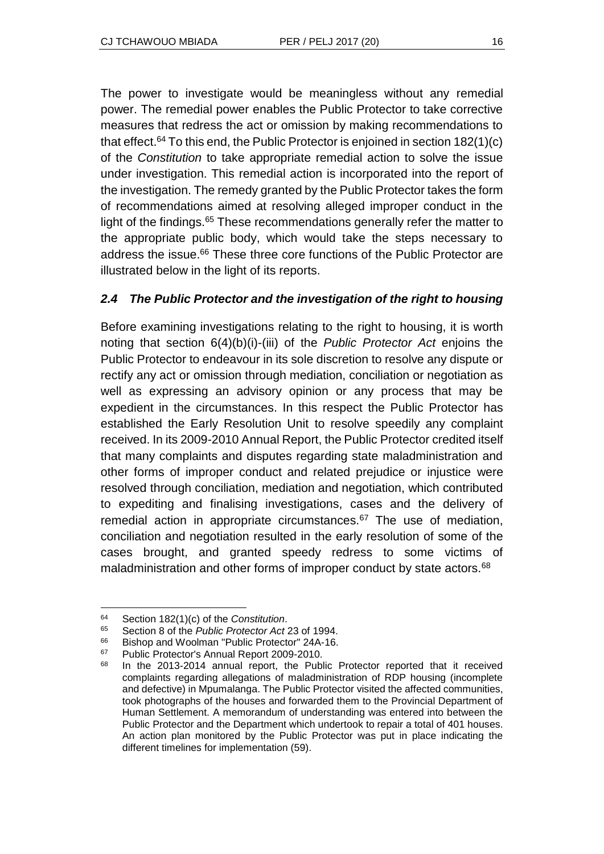The power to investigate would be meaningless without any remedial power. The remedial power enables the Public Protector to take corrective measures that redress the act or omission by making recommendations to that effect.<sup>64</sup> To this end, the Public Protector is enjoined in section  $182(1)(c)$ of the *Constitution* to take appropriate remedial action to solve the issue under investigation. This remedial action is incorporated into the report of the investigation. The remedy granted by the Public Protector takes the form of recommendations aimed at resolving alleged improper conduct in the light of the findings.<sup>65</sup> These recommendations generally refer the matter to the appropriate public body, which would take the steps necessary to address the issue.<sup>66</sup> These three core functions of the Public Protector are illustrated below in the light of its reports.

#### *2.4 The Public Protector and the investigation of the right to housing*

Before examining investigations relating to the right to housing, it is worth noting that section 6(4)(b)(i)-(iii) of the *Public Protector Act* enjoins the Public Protector to endeavour in its sole discretion to resolve any dispute or rectify any act or omission through mediation, conciliation or negotiation as well as expressing an advisory opinion or any process that may be expedient in the circumstances. In this respect the Public Protector has established the Early Resolution Unit to resolve speedily any complaint received. In its 2009-2010 Annual Report, the Public Protector credited itself that many complaints and disputes regarding state maladministration and other forms of improper conduct and related prejudice or injustice were resolved through conciliation, mediation and negotiation, which contributed to expediting and finalising investigations, cases and the delivery of remedial action in appropriate circumstances.<sup>67</sup> The use of mediation, conciliation and negotiation resulted in the early resolution of some of the cases brought, and granted speedy redress to some victims of maladministration and other forms of improper conduct by state actors.<sup>68</sup>

 $\overline{a}$ 

<sup>64</sup> Section 182(1)(c) of the *Constitution*.

<sup>65</sup> Section 8 of the *Public Protector Act* 23 of 1994.

<sup>66</sup> Bishop and Woolman "Public Protector" 24A-16.<br>67 Bublic Protector's Appual Benert 2009, 2010.

<sup>67</sup> Public Protector's Annual Report 2009-2010.

<sup>68</sup> In the 2013-2014 annual report, the Public Protector reported that it received complaints regarding allegations of maladministration of RDP housing (incomplete and defective) in Mpumalanga. The Public Protector visited the affected communities, took photographs of the houses and forwarded them to the Provincial Department of Human Settlement. A memorandum of understanding was entered into between the Public Protector and the Department which undertook to repair a total of 401 houses. An action plan monitored by the Public Protector was put in place indicating the different timelines for implementation (59).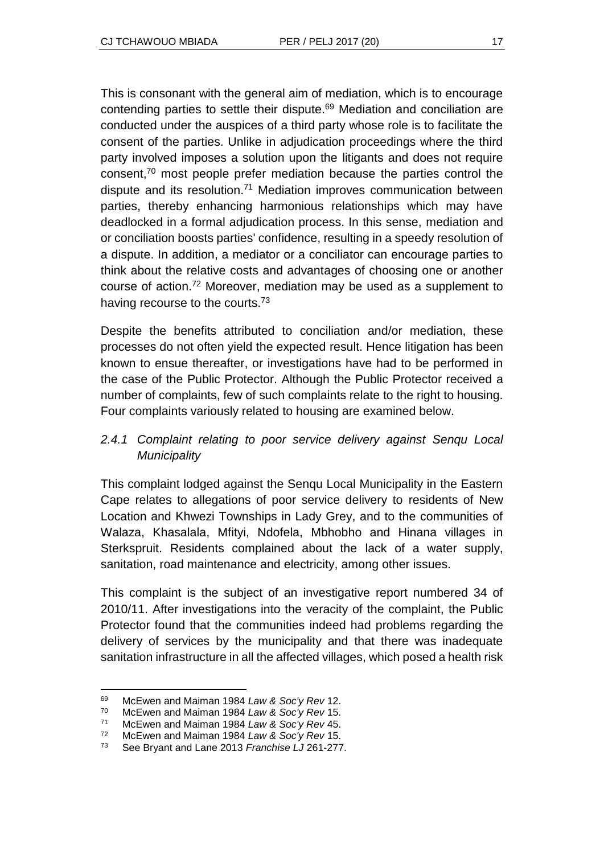This is consonant with the general aim of mediation, which is to encourage contending parties to settle their dispute.<sup>69</sup> Mediation and conciliation are conducted under the auspices of a third party whose role is to facilitate the consent of the parties. Unlike in adjudication proceedings where the third party involved imposes a solution upon the litigants and does not require consent,<sup>70</sup> most people prefer mediation because the parties control the dispute and its resolution.<sup>71</sup> Mediation improves communication between parties, thereby enhancing harmonious relationships which may have deadlocked in a formal adjudication process. In this sense, mediation and or conciliation boosts parties' confidence, resulting in a speedy resolution of a dispute. In addition, a mediator or a conciliator can encourage parties to think about the relative costs and advantages of choosing one or another course of action.<sup>72</sup> Moreover, mediation may be used as a supplement to having recourse to the courts.<sup>73</sup>

Despite the benefits attributed to conciliation and/or mediation, these processes do not often yield the expected result. Hence litigation has been known to ensue thereafter, or investigations have had to be performed in the case of the Public Protector. Although the Public Protector received a number of complaints, few of such complaints relate to the right to housing. Four complaints variously related to housing are examined below.

## *2.4.1 Complaint relating to poor service delivery against Senqu Local Municipality*

This complaint lodged against the Senqu Local Municipality in the Eastern Cape relates to allegations of poor service delivery to residents of New Location and Khwezi Townships in Lady Grey, and to the communities of Walaza, Khasalala, Mfityi, Ndofela, Mbhobho and Hinana villages in Sterkspruit. Residents complained about the lack of a water supply, sanitation, road maintenance and electricity, among other issues.

This complaint is the subject of an investigative report numbered 34 of 2010/11. After investigations into the veracity of the complaint, the Public Protector found that the communities indeed had problems regarding the delivery of services by the municipality and that there was inadequate sanitation infrastructure in all the affected villages, which posed a health risk

l <sup>69</sup> McEwen and Maiman 1984 *Law & Soc'y Rev* 12.

<sup>70</sup> McEwen and Maiman 1984 *Law & Soc'y Rev* 15.

<sup>71</sup> McEwen and Maiman 1984 *Law & Soc'y Rev* 45.

<sup>72</sup> McEwen and Maiman 1984 *Law & Soc'y Rev* 15.

<sup>73</sup> See Bryant and Lane 2013 *Franchise LJ* 261-277.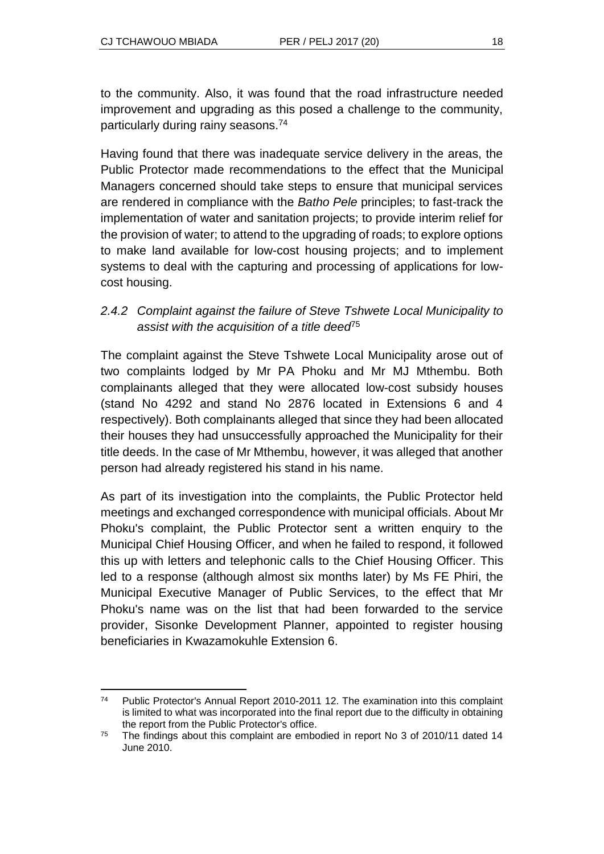to the community. Also, it was found that the road infrastructure needed improvement and upgrading as this posed a challenge to the community, particularly during rainy seasons.<sup>74</sup>

Having found that there was inadequate service delivery in the areas, the Public Protector made recommendations to the effect that the Municipal Managers concerned should take steps to ensure that municipal services are rendered in compliance with the *Batho Pele* principles; to fast-track the implementation of water and sanitation projects; to provide interim relief for the provision of water; to attend to the upgrading of roads; to explore options to make land available for low-cost housing projects; and to implement systems to deal with the capturing and processing of applications for lowcost housing.

## *2.4.2 Complaint against the failure of Steve Tshwete Local Municipality to assist with the acquisition of a title deed*<sup>75</sup>

The complaint against the Steve Tshwete Local Municipality arose out of two complaints lodged by Mr PA Phoku and Mr MJ Mthembu. Both complainants alleged that they were allocated low-cost subsidy houses (stand No 4292 and stand No 2876 located in Extensions 6 and 4 respectively). Both complainants alleged that since they had been allocated their houses they had unsuccessfully approached the Municipality for their title deeds. In the case of Mr Mthembu, however, it was alleged that another person had already registered his stand in his name.

As part of its investigation into the complaints, the Public Protector held meetings and exchanged correspondence with municipal officials. About Mr Phoku's complaint, the Public Protector sent a written enquiry to the Municipal Chief Housing Officer, and when he failed to respond, it followed this up with letters and telephonic calls to the Chief Housing Officer. This led to a response (although almost six months later) by Ms FE Phiri, the Municipal Executive Manager of Public Services, to the effect that Mr Phoku's name was on the list that had been forwarded to the service provider, Sisonke Development Planner, appointed to register housing beneficiaries in Kwazamokuhle Extension 6.

l <sup>74</sup> Public Protector's Annual Report 2010-2011 12. The examination into this complaint is limited to what was incorporated into the final report due to the difficulty in obtaining the report from the Public Protector's office.

<sup>75</sup> The findings about this complaint are embodied in report No 3 of 2010/11 dated 14 June 2010.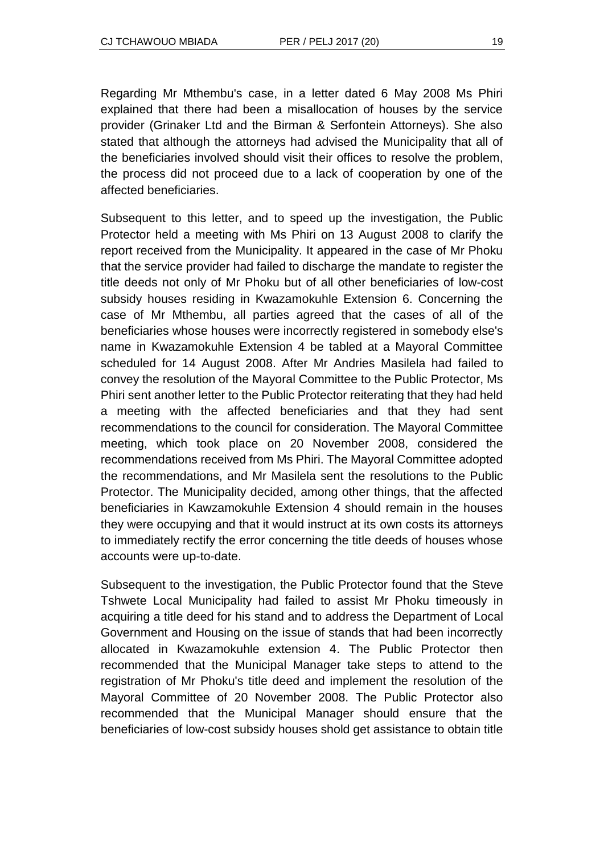Regarding Mr Mthembu's case, in a letter dated 6 May 2008 Ms Phiri explained that there had been a misallocation of houses by the service provider (Grinaker Ltd and the Birman & Serfontein Attorneys). She also stated that although the attorneys had advised the Municipality that all of the beneficiaries involved should visit their offices to resolve the problem, the process did not proceed due to a lack of cooperation by one of the affected beneficiaries.

Subsequent to this letter, and to speed up the investigation, the Public Protector held a meeting with Ms Phiri on 13 August 2008 to clarify the report received from the Municipality. It appeared in the case of Mr Phoku that the service provider had failed to discharge the mandate to register the title deeds not only of Mr Phoku but of all other beneficiaries of low-cost subsidy houses residing in Kwazamokuhle Extension 6. Concerning the case of Mr Mthembu, all parties agreed that the cases of all of the beneficiaries whose houses were incorrectly registered in somebody else's name in Kwazamokuhle Extension 4 be tabled at a Mayoral Committee scheduled for 14 August 2008. After Mr Andries Masilela had failed to convey the resolution of the Mayoral Committee to the Public Protector, Ms Phiri sent another letter to the Public Protector reiterating that they had held a meeting with the affected beneficiaries and that they had sent recommendations to the council for consideration. The Mayoral Committee meeting, which took place on 20 November 2008, considered the recommendations received from Ms Phiri. The Mayoral Committee adopted the recommendations, and Mr Masilela sent the resolutions to the Public Protector. The Municipality decided, among other things, that the affected beneficiaries in Kawzamokuhle Extension 4 should remain in the houses they were occupying and that it would instruct at its own costs its attorneys to immediately rectify the error concerning the title deeds of houses whose accounts were up-to-date.

Subsequent to the investigation, the Public Protector found that the Steve Tshwete Local Municipality had failed to assist Mr Phoku timeously in acquiring a title deed for his stand and to address the Department of Local Government and Housing on the issue of stands that had been incorrectly allocated in Kwazamokuhle extension 4. The Public Protector then recommended that the Municipal Manager take steps to attend to the registration of Mr Phoku's title deed and implement the resolution of the Mayoral Committee of 20 November 2008. The Public Protector also recommended that the Municipal Manager should ensure that the beneficiaries of low-cost subsidy houses shold get assistance to obtain title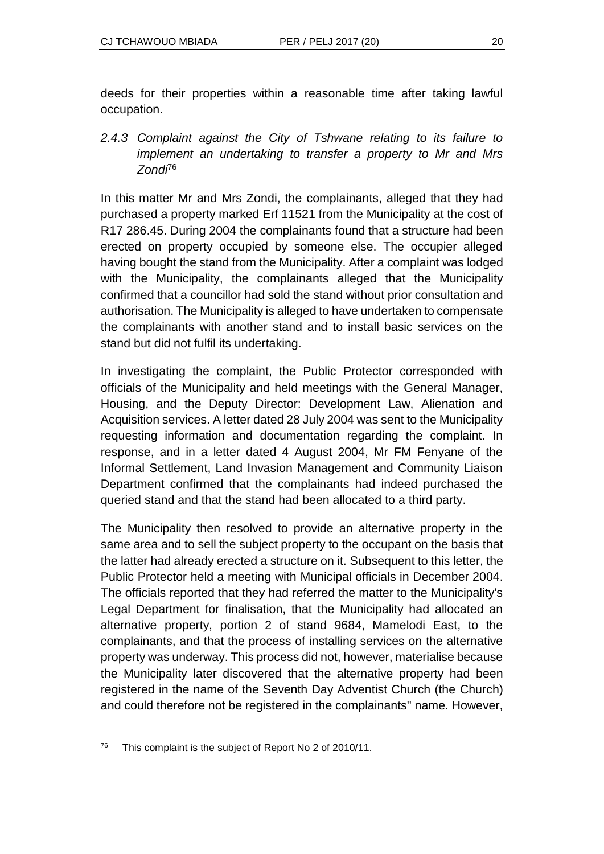deeds for their properties within a reasonable time after taking lawful occupation.

*2.4.3 Complaint against the City of Tshwane relating to its failure to implement an undertaking to transfer a property to Mr and Mrs Zondi*<sup>76</sup>

In this matter Mr and Mrs Zondi, the complainants, alleged that they had purchased a property marked Erf 11521 from the Municipality at the cost of R17 286.45. During 2004 the complainants found that a structure had been erected on property occupied by someone else. The occupier alleged having bought the stand from the Municipality. After a complaint was lodged with the Municipality, the complainants alleged that the Municipality confirmed that a councillor had sold the stand without prior consultation and authorisation. The Municipality is alleged to have undertaken to compensate the complainants with another stand and to install basic services on the stand but did not fulfil its undertaking.

In investigating the complaint, the Public Protector corresponded with officials of the Municipality and held meetings with the General Manager, Housing, and the Deputy Director: Development Law, Alienation and Acquisition services. A letter dated 28 July 2004 was sent to the Municipality requesting information and documentation regarding the complaint. In response, and in a letter dated 4 August 2004, Mr FM Fenyane of the Informal Settlement, Land Invasion Management and Community Liaison Department confirmed that the complainants had indeed purchased the queried stand and that the stand had been allocated to a third party.

The Municipality then resolved to provide an alternative property in the same area and to sell the subject property to the occupant on the basis that the latter had already erected a structure on it. Subsequent to this letter, the Public Protector held a meeting with Municipal officials in December 2004. The officials reported that they had referred the matter to the Municipality's Legal Department for finalisation, that the Municipality had allocated an alternative property, portion 2 of stand 9684, Mamelodi East, to the complainants, and that the process of installing services on the alternative property was underway. This process did not, however, materialise because the Municipality later discovered that the alternative property had been registered in the name of the Seventh Day Adventist Church (the Church) and could therefore not be registered in the complainants'' name. However,

l <sup>76</sup> This complaint is the subject of Report No 2 of 2010/11.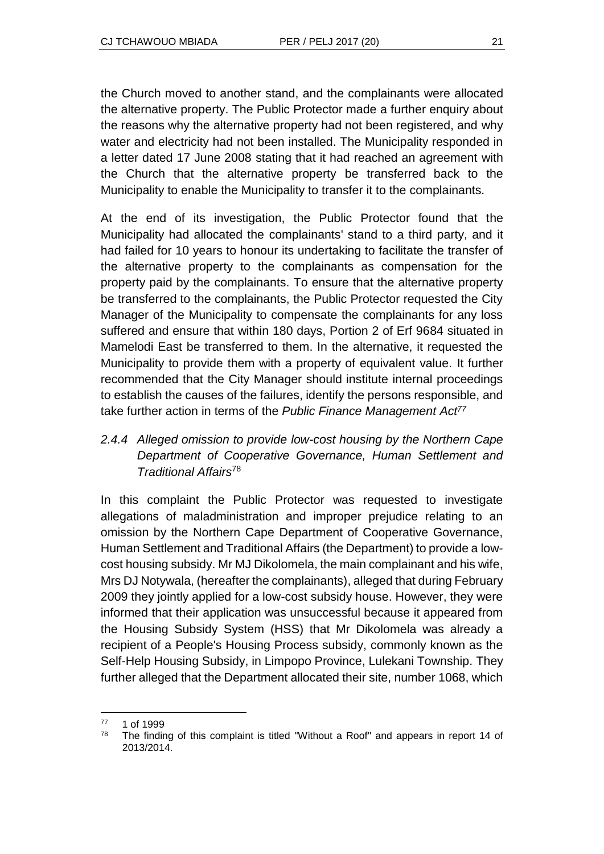the Church moved to another stand, and the complainants were allocated the alternative property. The Public Protector made a further enquiry about the reasons why the alternative property had not been registered, and why water and electricity had not been installed. The Municipality responded in a letter dated 17 June 2008 stating that it had reached an agreement with the Church that the alternative property be transferred back to the Municipality to enable the Municipality to transfer it to the complainants.

At the end of its investigation, the Public Protector found that the Municipality had allocated the complainants' stand to a third party, and it had failed for 10 years to honour its undertaking to facilitate the transfer of the alternative property to the complainants as compensation for the property paid by the complainants. To ensure that the alternative property be transferred to the complainants, the Public Protector requested the City Manager of the Municipality to compensate the complainants for any loss suffered and ensure that within 180 days, Portion 2 of Erf 9684 situated in Mamelodi East be transferred to them. In the alternative, it requested the Municipality to provide them with a property of equivalent value. It further recommended that the City Manager should institute internal proceedings to establish the causes of the failures, identify the persons responsible, and take further action in terms of the *Public Finance Management Act<sup>77</sup>*

## *2.4.4 Alleged omission to provide low-cost housing by the Northern Cape Department of Cooperative Governance, Human Settlement and Traditional Affairs*<sup>78</sup>

In this complaint the Public Protector was requested to investigate allegations of maladministration and improper prejudice relating to an omission by the Northern Cape Department of Cooperative Governance, Human Settlement and Traditional Affairs (the Department) to provide a lowcost housing subsidy. Mr MJ Dikolomela, the main complainant and his wife, Mrs DJ Notywala, (hereafter the complainants), alleged that during February 2009 they jointly applied for a low-cost subsidy house. However, they were informed that their application was unsuccessful because it appeared from the Housing Subsidy System (HSS) that Mr Dikolomela was already a recipient of a People's Housing Process subsidy, commonly known as the Self-Help Housing Subsidy, in Limpopo Province, Lulekani Township. They further alleged that the Department allocated their site, number 1068, which

 $\overline{a}$ <sup>77</sup> 1 of 1999

 $78$  The finding of this complaint is titled "Without a Roof" and appears in report 14 of 2013/2014.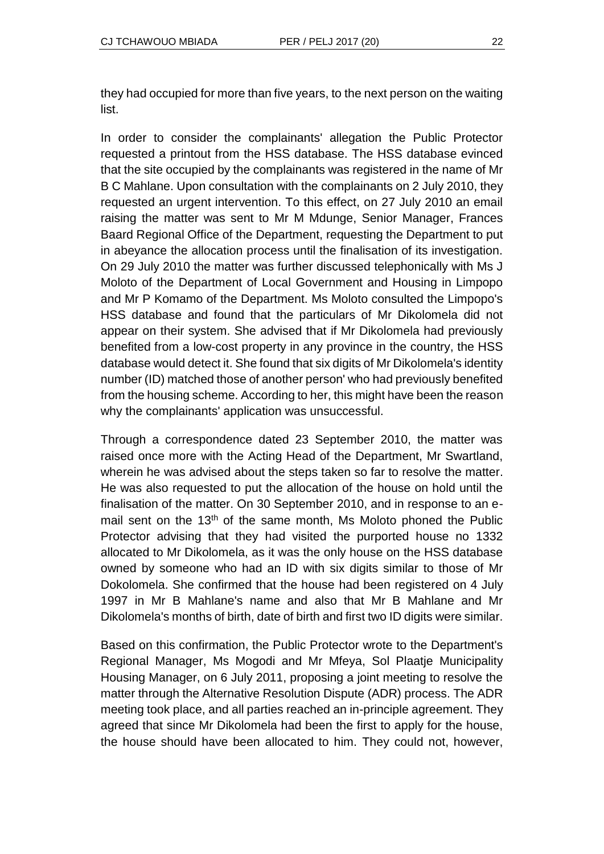they had occupied for more than five years, to the next person on the waiting list.

In order to consider the complainants' allegation the Public Protector requested a printout from the HSS database. The HSS database evinced that the site occupied by the complainants was registered in the name of Mr B C Mahlane. Upon consultation with the complainants on 2 July 2010, they requested an urgent intervention. To this effect, on 27 July 2010 an email raising the matter was sent to Mr M Mdunge, Senior Manager, Frances Baard Regional Office of the Department, requesting the Department to put in abeyance the allocation process until the finalisation of its investigation. On 29 July 2010 the matter was further discussed telephonically with Ms J Moloto of the Department of Local Government and Housing in Limpopo and Mr P Komamo of the Department. Ms Moloto consulted the Limpopo's HSS database and found that the particulars of Mr Dikolomela did not appear on their system. She advised that if Mr Dikolomela had previously benefited from a low-cost property in any province in the country, the HSS database would detect it. She found that six digits of Mr Dikolomela's identity number (ID) matched those of another person' who had previously benefited from the housing scheme. According to her, this might have been the reason why the complainants' application was unsuccessful.

Through a correspondence dated 23 September 2010, the matter was raised once more with the Acting Head of the Department, Mr Swartland, wherein he was advised about the steps taken so far to resolve the matter. He was also requested to put the allocation of the house on hold until the finalisation of the matter. On 30 September 2010, and in response to an email sent on the 13<sup>th</sup> of the same month, Ms Moloto phoned the Public Protector advising that they had visited the purported house no 1332 allocated to Mr Dikolomela, as it was the only house on the HSS database owned by someone who had an ID with six digits similar to those of Mr Dokolomela. She confirmed that the house had been registered on 4 July 1997 in Mr B Mahlane's name and also that Mr B Mahlane and Mr Dikolomela's months of birth, date of birth and first two ID digits were similar.

Based on this confirmation, the Public Protector wrote to the Department's Regional Manager, Ms Mogodi and Mr Mfeya, Sol Plaatje Municipality Housing Manager, on 6 July 2011, proposing a joint meeting to resolve the matter through the Alternative Resolution Dispute (ADR) process. The ADR meeting took place, and all parties reached an in-principle agreement. They agreed that since Mr Dikolomela had been the first to apply for the house, the house should have been allocated to him. They could not, however,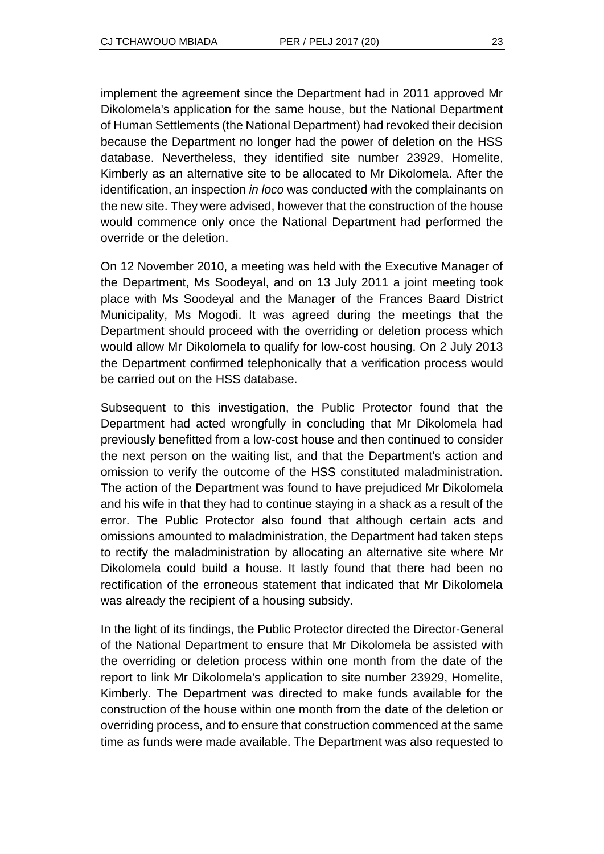implement the agreement since the Department had in 2011 approved Mr Dikolomela's application for the same house, but the National Department of Human Settlements (the National Department) had revoked their decision because the Department no longer had the power of deletion on the HSS database. Nevertheless, they identified site number 23929, Homelite, Kimberly as an alternative site to be allocated to Mr Dikolomela. After the identification, an inspection *in loco* was conducted with the complainants on the new site. They were advised, however that the construction of the house would commence only once the National Department had performed the override or the deletion.

On 12 November 2010, a meeting was held with the Executive Manager of the Department, Ms Soodeyal, and on 13 July 2011 a joint meeting took place with Ms Soodeyal and the Manager of the Frances Baard District Municipality, Ms Mogodi. It was agreed during the meetings that the Department should proceed with the overriding or deletion process which would allow Mr Dikolomela to qualify for low-cost housing. On 2 July 2013 the Department confirmed telephonically that a verification process would be carried out on the HSS database.

Subsequent to this investigation, the Public Protector found that the Department had acted wrongfully in concluding that Mr Dikolomela had previously benefitted from a low-cost house and then continued to consider the next person on the waiting list, and that the Department's action and omission to verify the outcome of the HSS constituted maladministration. The action of the Department was found to have prejudiced Mr Dikolomela and his wife in that they had to continue staying in a shack as a result of the error. The Public Protector also found that although certain acts and omissions amounted to maladministration, the Department had taken steps to rectify the maladministration by allocating an alternative site where Mr Dikolomela could build a house. It lastly found that there had been no rectification of the erroneous statement that indicated that Mr Dikolomela was already the recipient of a housing subsidy.

In the light of its findings, the Public Protector directed the Director-General of the National Department to ensure that Mr Dikolomela be assisted with the overriding or deletion process within one month from the date of the report to link Mr Dikolomela's application to site number 23929, Homelite, Kimberly. The Department was directed to make funds available for the construction of the house within one month from the date of the deletion or overriding process, and to ensure that construction commenced at the same time as funds were made available. The Department was also requested to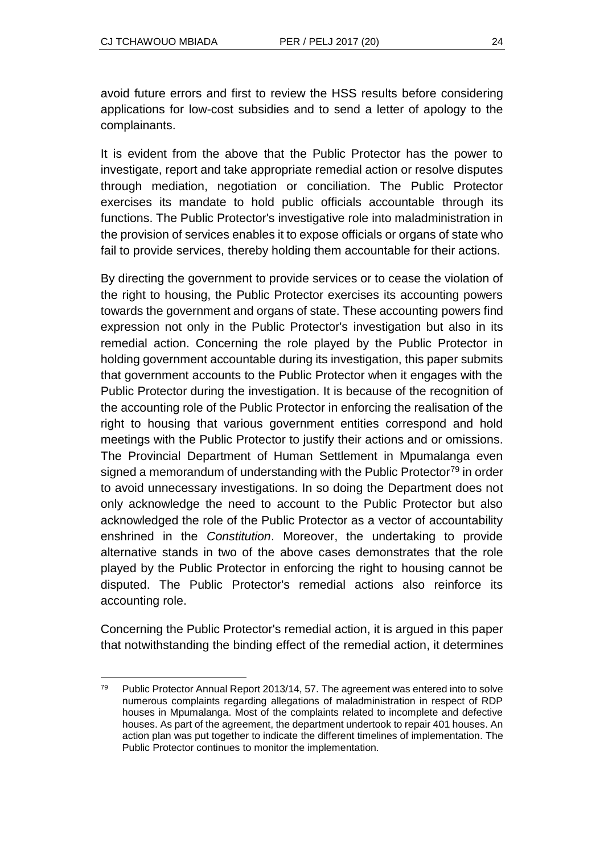avoid future errors and first to review the HSS results before considering applications for low-cost subsidies and to send a letter of apology to the complainants.

It is evident from the above that the Public Protector has the power to investigate, report and take appropriate remedial action or resolve disputes through mediation, negotiation or conciliation. The Public Protector exercises its mandate to hold public officials accountable through its functions. The Public Protector's investigative role into maladministration in the provision of services enables it to expose officials or organs of state who fail to provide services, thereby holding them accountable for their actions.

By directing the government to provide services or to cease the violation of the right to housing, the Public Protector exercises its accounting powers towards the government and organs of state. These accounting powers find expression not only in the Public Protector's investigation but also in its remedial action. Concerning the role played by the Public Protector in holding government accountable during its investigation, this paper submits that government accounts to the Public Protector when it engages with the Public Protector during the investigation. It is because of the recognition of the accounting role of the Public Protector in enforcing the realisation of the right to housing that various government entities correspond and hold meetings with the Public Protector to justify their actions and or omissions. The Provincial Department of Human Settlement in Mpumalanga even signed a memorandum of understanding with the Public Protector<sup>79</sup> in order to avoid unnecessary investigations. In so doing the Department does not only acknowledge the need to account to the Public Protector but also acknowledged the role of the Public Protector as a vector of accountability enshrined in the *Constitution*. Moreover, the undertaking to provide alternative stands in two of the above cases demonstrates that the role played by the Public Protector in enforcing the right to housing cannot be disputed. The Public Protector's remedial actions also reinforce its accounting role.

Concerning the Public Protector's remedial action, it is argued in this paper that notwithstanding the binding effect of the remedial action, it determines

l  $79$  Public Protector Annual Report 2013/14, 57. The agreement was entered into to solve numerous complaints regarding allegations of maladministration in respect of RDP houses in Mpumalanga. Most of the complaints related to incomplete and defective houses. As part of the agreement, the department undertook to repair 401 houses. An action plan was put together to indicate the different timelines of implementation. The Public Protector continues to monitor the implementation.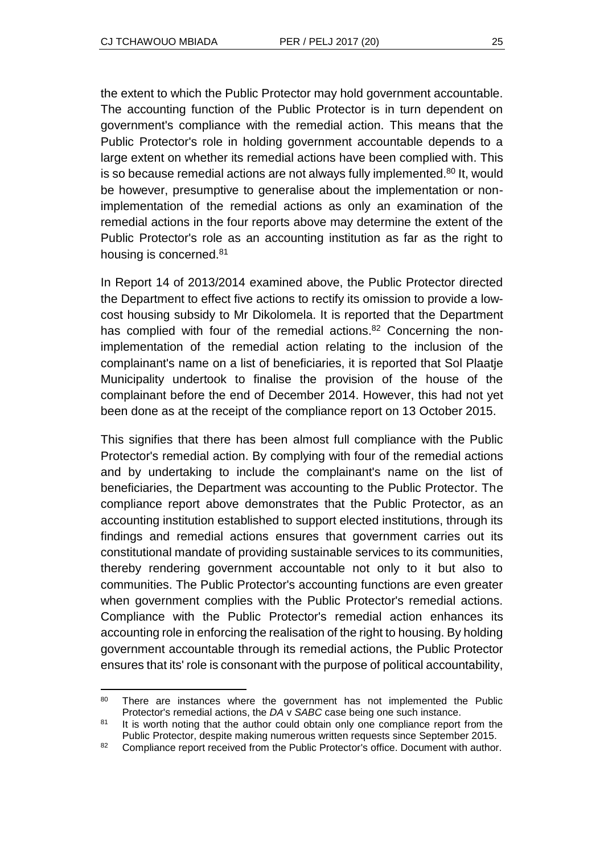the extent to which the Public Protector may hold government accountable. The accounting function of the Public Protector is in turn dependent on government's compliance with the remedial action. This means that the Public Protector's role in holding government accountable depends to a large extent on whether its remedial actions have been complied with. This is so because remedial actions are not always fully implemented.<sup>80</sup> It, would be however, presumptive to generalise about the implementation or nonimplementation of the remedial actions as only an examination of the remedial actions in the four reports above may determine the extent of the Public Protector's role as an accounting institution as far as the right to housing is concerned.<sup>81</sup>

In Report 14 of 2013/2014 examined above, the Public Protector directed the Department to effect five actions to rectify its omission to provide a lowcost housing subsidy to Mr Dikolomela. It is reported that the Department has complied with four of the remedial actions.<sup>82</sup> Concerning the nonimplementation of the remedial action relating to the inclusion of the complainant's name on a list of beneficiaries, it is reported that Sol Plaatje Municipality undertook to finalise the provision of the house of the complainant before the end of December 2014. However, this had not yet been done as at the receipt of the compliance report on 13 October 2015.

This signifies that there has been almost full compliance with the Public Protector's remedial action. By complying with four of the remedial actions and by undertaking to include the complainant's name on the list of beneficiaries, the Department was accounting to the Public Protector. The compliance report above demonstrates that the Public Protector, as an accounting institution established to support elected institutions, through its findings and remedial actions ensures that government carries out its constitutional mandate of providing sustainable services to its communities, thereby rendering government accountable not only to it but also to communities. The Public Protector's accounting functions are even greater when government complies with the Public Protector's remedial actions. Compliance with the Public Protector's remedial action enhances its accounting role in enforcing the realisation of the right to housing. By holding government accountable through its remedial actions, the Public Protector ensures that its' role is consonant with the purpose of political accountability,

l 80 There are instances where the government has not implemented the Public Protector's remedial actions, the *DA* v *SABC* case being one such instance.

<sup>&</sup>lt;sup>81</sup> It is worth noting that the author could obtain only one compliance report from the Public Protector, despite making numerous written requests since September 2015.

<sup>82</sup> Compliance report received from the Public Protector's office. Document with author.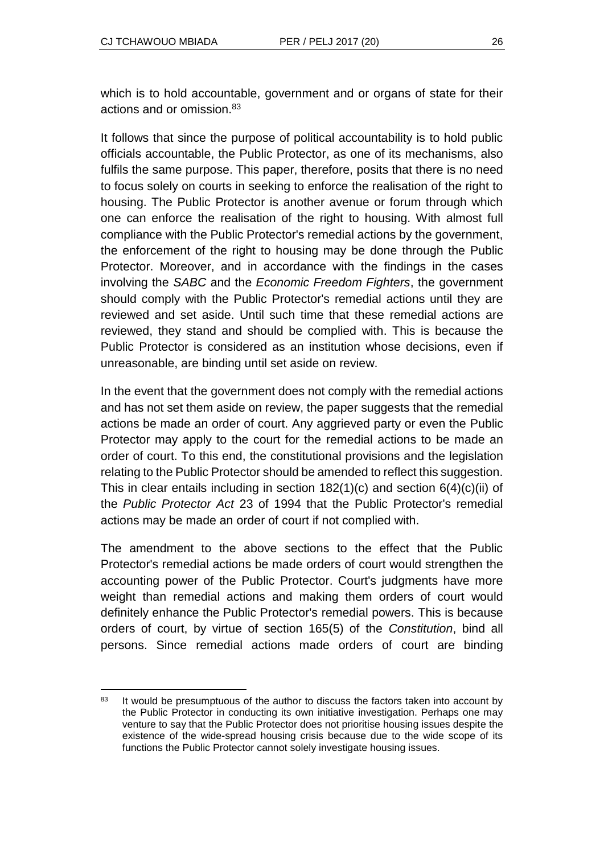which is to hold accountable, government and or organs of state for their actions and or omission.<sup>83</sup>

It follows that since the purpose of political accountability is to hold public officials accountable, the Public Protector, as one of its mechanisms, also fulfils the same purpose. This paper, therefore, posits that there is no need to focus solely on courts in seeking to enforce the realisation of the right to housing. The Public Protector is another avenue or forum through which one can enforce the realisation of the right to housing. With almost full compliance with the Public Protector's remedial actions by the government, the enforcement of the right to housing may be done through the Public Protector. Moreover, and in accordance with the findings in the cases involving the *SABC* and the *Economic Freedom Fighters*, the government should comply with the Public Protector's remedial actions until they are reviewed and set aside. Until such time that these remedial actions are reviewed, they stand and should be complied with. This is because the Public Protector is considered as an institution whose decisions, even if unreasonable, are binding until set aside on review.

In the event that the government does not comply with the remedial actions and has not set them aside on review, the paper suggests that the remedial actions be made an order of court. Any aggrieved party or even the Public Protector may apply to the court for the remedial actions to be made an order of court. To this end, the constitutional provisions and the legislation relating to the Public Protector should be amended to reflect this suggestion. This in clear entails including in section  $182(1)(c)$  and section  $6(4)(c)(ii)$  of the *Public Protector Act* 23 of 1994 that the Public Protector's remedial actions may be made an order of court if not complied with.

The amendment to the above sections to the effect that the Public Protector's remedial actions be made orders of court would strengthen the accounting power of the Public Protector. Court's judgments have more weight than remedial actions and making them orders of court would definitely enhance the Public Protector's remedial powers. This is because orders of court, by virtue of section 165(5) of the *Constitution*, bind all persons. Since remedial actions made orders of court are binding

l 83 It would be presumptuous of the author to discuss the factors taken into account by the Public Protector in conducting its own initiative investigation. Perhaps one may venture to say that the Public Protector does not prioritise housing issues despite the existence of the wide-spread housing crisis because due to the wide scope of its functions the Public Protector cannot solely investigate housing issues.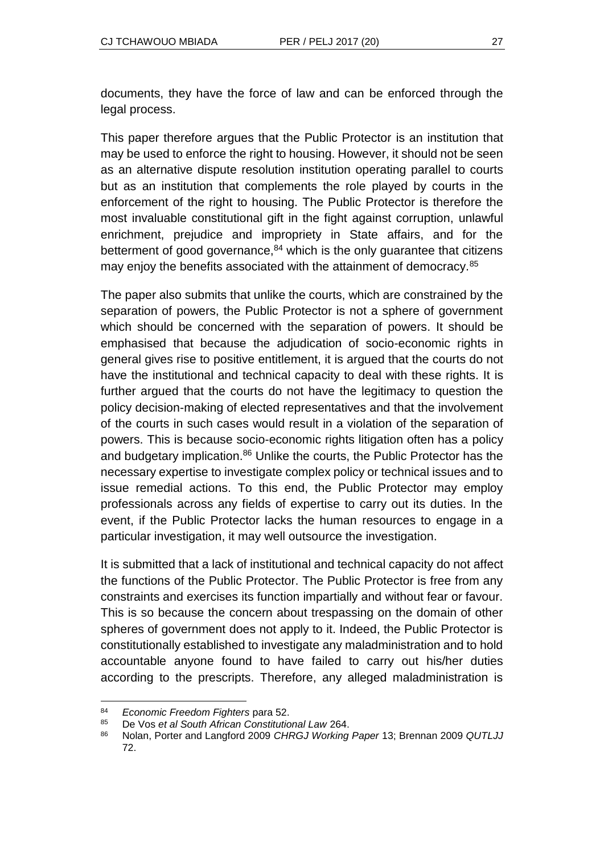documents, they have the force of law and can be enforced through the legal process.

This paper therefore argues that the Public Protector is an institution that may be used to enforce the right to housing. However, it should not be seen as an alternative dispute resolution institution operating parallel to courts but as an institution that complements the role played by courts in the enforcement of the right to housing. The Public Protector is therefore the most invaluable constitutional gift in the fight against corruption, unlawful enrichment, prejudice and impropriety in State affairs, and for the betterment of good governance, $84$  which is the only guarantee that citizens may enjoy the benefits associated with the attainment of democracy.<sup>85</sup>

The paper also submits that unlike the courts, which are constrained by the separation of powers, the Public Protector is not a sphere of government which should be concerned with the separation of powers. It should be emphasised that because the adjudication of socio-economic rights in general gives rise to positive entitlement, it is argued that the courts do not have the institutional and technical capacity to deal with these rights. It is further argued that the courts do not have the legitimacy to question the policy decision-making of elected representatives and that the involvement of the courts in such cases would result in a violation of the separation of powers. This is because socio-economic rights litigation often has a policy and budgetary implication.<sup>86</sup> Unlike the courts, the Public Protector has the necessary expertise to investigate complex policy or technical issues and to issue remedial actions. To this end, the Public Protector may employ professionals across any fields of expertise to carry out its duties. In the event, if the Public Protector lacks the human resources to engage in a particular investigation, it may well outsource the investigation.

It is submitted that a lack of institutional and technical capacity do not affect the functions of the Public Protector. The Public Protector is free from any constraints and exercises its function impartially and without fear or favour. This is so because the concern about trespassing on the domain of other spheres of government does not apply to it. Indeed, the Public Protector is constitutionally established to investigate any maladministration and to hold accountable anyone found to have failed to carry out his/her duties according to the prescripts. Therefore, any alleged maladministration is

l <sup>84</sup> *Economic Freedom Fighters* para 52.

<sup>85</sup> De Vos *et al South African Constitutional Law* 264.

<sup>86</sup> Nolan, Porter and Langford 2009 *CHRGJ Working Paper* 13; Brennan 2009 *QUTLJJ*  72.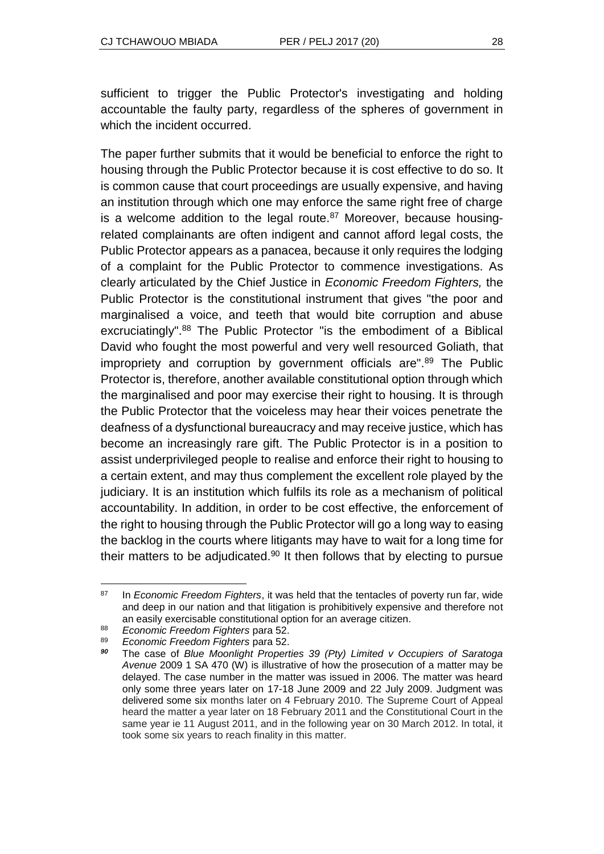sufficient to trigger the Public Protector's investigating and holding accountable the faulty party, regardless of the spheres of government in which the incident occurred.

The paper further submits that it would be beneficial to enforce the right to housing through the Public Protector because it is cost effective to do so. It is common cause that court proceedings are usually expensive, and having an institution through which one may enforce the same right free of charge is a welcome addition to the legal route. $87$  Moreover, because housingrelated complainants are often indigent and cannot afford legal costs, the Public Protector appears as a panacea, because it only requires the lodging of a complaint for the Public Protector to commence investigations. As clearly articulated by the Chief Justice in *Economic Freedom Fighters,* the Public Protector is the constitutional instrument that gives "the poor and marginalised a voice, and teeth that would bite corruption and abuse excruciatingly".<sup>88</sup> The Public Protector "is the embodiment of a Biblical David who fought the most powerful and very well resourced Goliath, that impropriety and corruption by government officials are".<sup>89</sup> The Public Protector is, therefore, another available constitutional option through which the marginalised and poor may exercise their right to housing. It is through the Public Protector that the voiceless may hear their voices penetrate the deafness of a dysfunctional bureaucracy and may receive justice, which has become an increasingly rare gift. The Public Protector is in a position to assist underprivileged people to realise and enforce their right to housing to a certain extent, and may thus complement the excellent role played by the judiciary. It is an institution which fulfils its role as a mechanism of political accountability. In addition, in order to be cost effective, the enforcement of the right to housing through the Public Protector will go a long way to easing the backlog in the courts where litigants may have to wait for a long time for their matters to be adjudicated.<sup>90</sup> It then follows that by electing to pursue

<sup>87</sup> <sup>87</sup> In *Economic Freedom Fighters*, it was held that the tentacles of poverty run far, wide and deep in our nation and that litigation is prohibitively expensive and therefore not an easily exercisable constitutional option for an average citizen.

<sup>88</sup> *Economic Freedom Fighters* para 52.

<sup>89</sup> *Economic Freedom Fighters* para 52.

*<sup>90</sup>* The case of *Blue Moonlight Properties 39 (Pty) Limited v Occupiers of Saratoga Avenue* 2009 1 SA 470 (W) is illustrative of how the prosecution of a matter may be delayed. The case number in the matter was issued in 2006. The matter was heard only some three years later on 17-18 June 2009 and 22 July 2009. Judgment was delivered some six months later on 4 February 2010. The Supreme Court of Appeal heard the matter a year later on 18 February 2011 and the Constitutional Court in the same year ie 11 August 2011, and in the following year on 30 March 2012. In total, it took some six years to reach finality in this matter.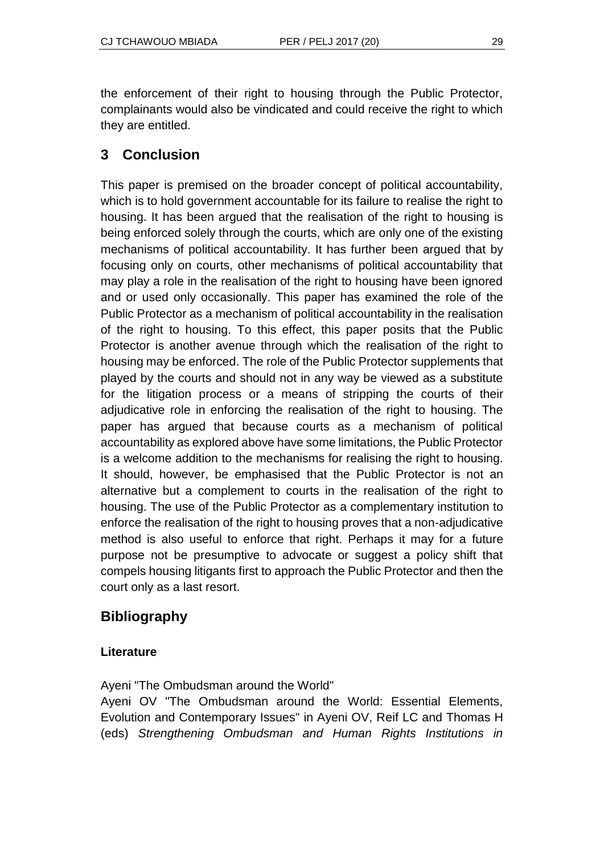the enforcement of their right to housing through the Public Protector, complainants would also be vindicated and could receive the right to which they are entitled.

# **3 Conclusion**

This paper is premised on the broader concept of political accountability, which is to hold government accountable for its failure to realise the right to housing. It has been argued that the realisation of the right to housing is being enforced solely through the courts, which are only one of the existing mechanisms of political accountability. It has further been argued that by focusing only on courts, other mechanisms of political accountability that may play a role in the realisation of the right to housing have been ignored and or used only occasionally. This paper has examined the role of the Public Protector as a mechanism of political accountability in the realisation of the right to housing. To this effect, this paper posits that the Public Protector is another avenue through which the realisation of the right to housing may be enforced. The role of the Public Protector supplements that played by the courts and should not in any way be viewed as a substitute for the litigation process or a means of stripping the courts of their adjudicative role in enforcing the realisation of the right to housing. The paper has argued that because courts as a mechanism of political accountability as explored above have some limitations, the Public Protector is a welcome addition to the mechanisms for realising the right to housing. It should, however, be emphasised that the Public Protector is not an alternative but a complement to courts in the realisation of the right to housing. The use of the Public Protector as a complementary institution to enforce the realisation of the right to housing proves that a non-adjudicative method is also useful to enforce that right. Perhaps it may for a future purpose not be presumptive to advocate or suggest a policy shift that compels housing litigants first to approach the Public Protector and then the court only as a last resort.

## **Bibliography**

#### **Literature**

Ayeni "The Ombudsman around the World"

Ayeni OV "The Ombudsman around the World: Essential Elements, Evolution and Contemporary Issues" in Ayeni OV, Reif LC and Thomas H (eds) *Strengthening Ombudsman and Human Rights Institutions in*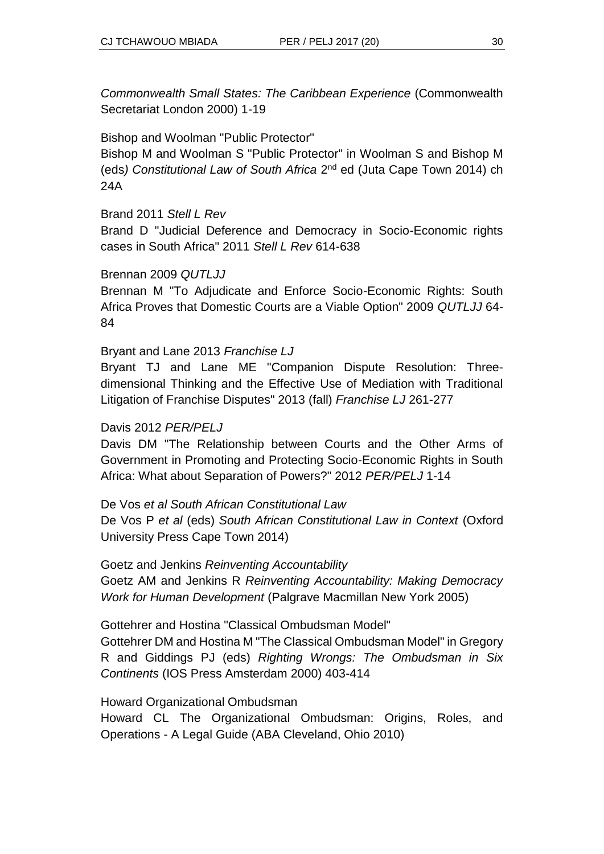*Commonwealth Small States: The Caribbean Experience* (Commonwealth Secretariat London 2000) 1-19

## Bishop and Woolman "Public Protector"

Bishop M and Woolman S "Public Protector" in Woolman S and Bishop M (eds) Constitutional Law of South Africa 2<sup>nd</sup> ed (Juta Cape Town 2014) ch 24A

#### Brand 2011 *Stell L Rev*

Brand D "Judicial Deference and Democracy in Socio-Economic rights cases in South Africa" 2011 *Stell L Rev* 614-638

#### Brennan 2009 *QUTLJJ*

Brennan M "To Adjudicate and Enforce Socio-Economic Rights: South Africa Proves that Domestic Courts are a Viable Option" 2009 *QUTLJJ* 64- 84

#### Bryant and Lane 2013 *Franchise LJ*

Bryant TJ and Lane ME "Companion Dispute Resolution: Threedimensional Thinking and the Effective Use of Mediation with Traditional Litigation of Franchise Disputes" 2013 (fall) *Franchise LJ* 261-277

#### Davis 2012 *PER/PELJ*

Davis DM "The Relationship between Courts and the Other Arms of Government in Promoting and Protecting Socio-Economic Rights in South Africa: What about Separation of Powers?" 2012 *PER/PELJ* 1-14

De Vos *et al South African Constitutional Law* De Vos P *et al* (eds) *South African Constitutional Law in Context* (Oxford University Press Cape Town 2014)

Goetz and Jenkins *Reinventing Accountability* Goetz AM and Jenkins R *Reinventing Accountability: Making Democracy Work for Human Development* (Palgrave Macmillan New York 2005)

#### Gottehrer and Hostina "Classical Ombudsman Model"

Gottehrer DM and Hostina M "The Classical Ombudsman Model" in Gregory R and Giddings PJ (eds) *Righting Wrongs: The Ombudsman in Six Continents* (IOS Press Amsterdam 2000) 403-414

#### Howard Organizational Ombudsman

Howard CL The Organizational Ombudsman: Origins, Roles, and Operations - A Legal Guide (ABA Cleveland, Ohio 2010)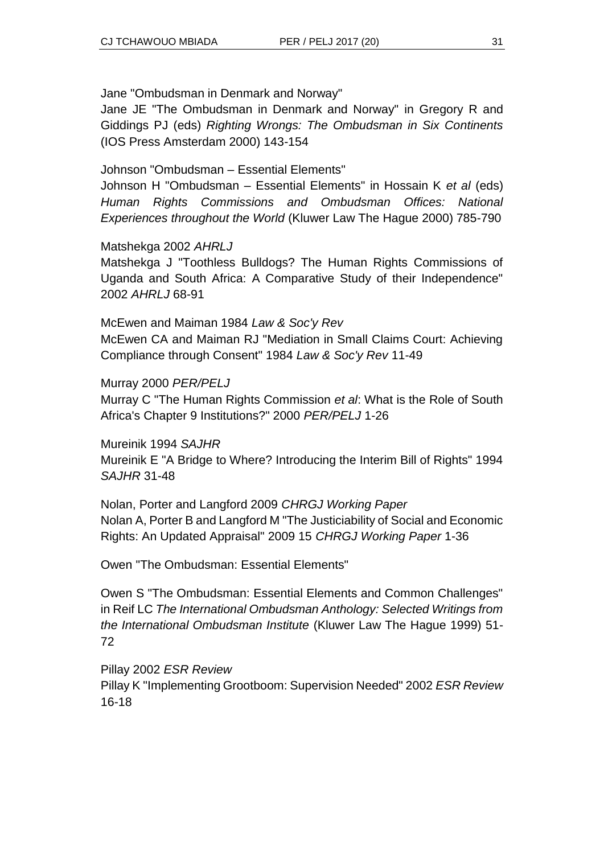Jane "Ombudsman in Denmark and Norway"

Jane JE "The Ombudsman in Denmark and Norway" in Gregory R and Giddings PJ (eds) *Righting Wrongs: The Ombudsman in Six Continents* (IOS Press Amsterdam 2000) 143-154

Johnson "Ombudsman – Essential Elements"

Johnson H "Ombudsman – Essential Elements" in Hossain K *et al* (eds) *Human Rights Commissions and Ombudsman Offices: National Experiences throughout the World* (Kluwer Law The Hague 2000) 785-790

#### Matshekga 2002 *AHRLJ*

Matshekga J "Toothless Bulldogs? The Human Rights Commissions of Uganda and South Africa: A Comparative Study of their Independence" 2002 *AHRLJ* 68-91

McEwen and Maiman 1984 *Law & Soc'y Rev* McEwen CA and Maiman RJ "Mediation in Small Claims Court: Achieving Compliance through Consent" 1984 *Law & Soc'y Rev* 11-49

Murray 2000 *PER/PELJ*

Murray C "The Human Rights Commission *et al*: What is the Role of South Africa's Chapter 9 Institutions?" 2000 *PER/PELJ* 1-26

Mureinik 1994 *SAJHR* Mureinik E "A Bridge to Where? Introducing the Interim Bill of Rights" 1994 *SAJHR* 31-48

Nolan, Porter and Langford 2009 *CHRGJ Working Paper* Nolan A, Porter B and Langford M "The Justiciability of Social and Economic Rights: An Updated Appraisal" 2009 15 *CHRGJ Working Paper* 1-36

Owen "The Ombudsman: Essential Elements"

Owen S "The Ombudsman: Essential Elements and Common Challenges" in Reif LC *The International Ombudsman Anthology: Selected Writings from the International Ombudsman Institute* (Kluwer Law The Hague 1999) 51- 72

Pillay 2002 *ESR Review* Pillay K "Implementing Grootboom: Supervision Needed" 2002 *ESR Review*  16-18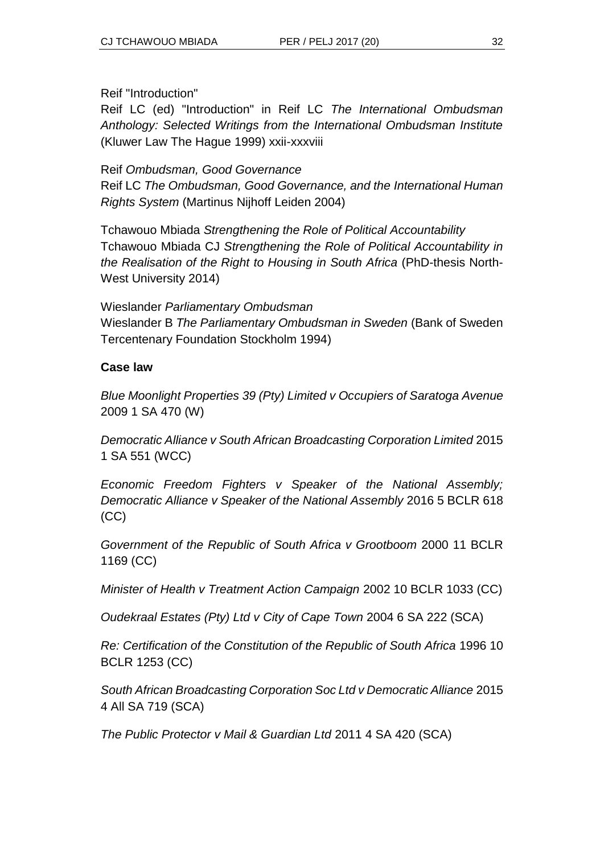Reif "Introduction"

Reif LC (ed) "Introduction" in Reif LC *The International Ombudsman Anthology: Selected Writings from the International Ombudsman Institute* (Kluwer Law The Hague 1999) xxii-xxxviii

Reif *Ombudsman, Good Governance*

Reif LC *The Ombudsman, Good Governance, and the International Human Rights System* (Martinus Nijhoff Leiden 2004)

Tchawouo Mbiada *Strengthening the Role of Political Accountability* Tchawouo Mbiada CJ *Strengthening the Role of Political Accountability in the Realisation of the Right to Housing in South Africa* (PhD-thesis North-West University 2014)

[Wieslander](http://www.google.co.za/search?tbo=p&tbm=bks&q=inauthor:%22Bengt+Wieslander%22) *Parliamentary Ombudsman* [Wieslander](http://www.google.co.za/search?tbo=p&tbm=bks&q=inauthor:%22Bengt+Wieslander%22) B *The Parliamentary Ombudsman in Sweden* (Bank of Sweden Tercentenary Foundation Stockholm 1994)

#### **Case law**

*Blue Moonlight Properties 39 (Pty) Limited v Occupiers of Saratoga Avenue*  2009 1 SA 470 (W)

*Democratic Alliance v South African Broadcasting Corporation Limited* 2015 1 SA 551 (WCC)

*Economic Freedom Fighters v Speaker of the National Assembly; Democratic Alliance v Speaker of the National Assembly* 2016 5 BCLR 618 (CC)

*Government of the Republic of South Africa v Grootboom* 2000 11 BCLR 1169 (CC)

*Minister of Health v Treatment Action Campaign* 2002 10 BCLR 1033 (CC)

*Oudekraal Estates (Pty) Ltd v City of Cape Town* 2004 6 SA 222 (SCA)

*Re: Certification of the Constitution of the Republic of South Africa* 1996 10 BCLR 1253 (CC)

*South African Broadcasting Corporation Soc Ltd v Democratic Alliance* 2015 4 All SA 719 (SCA)

*The Public Protector v Mail & Guardian Ltd* 2011 4 SA 420 (SCA)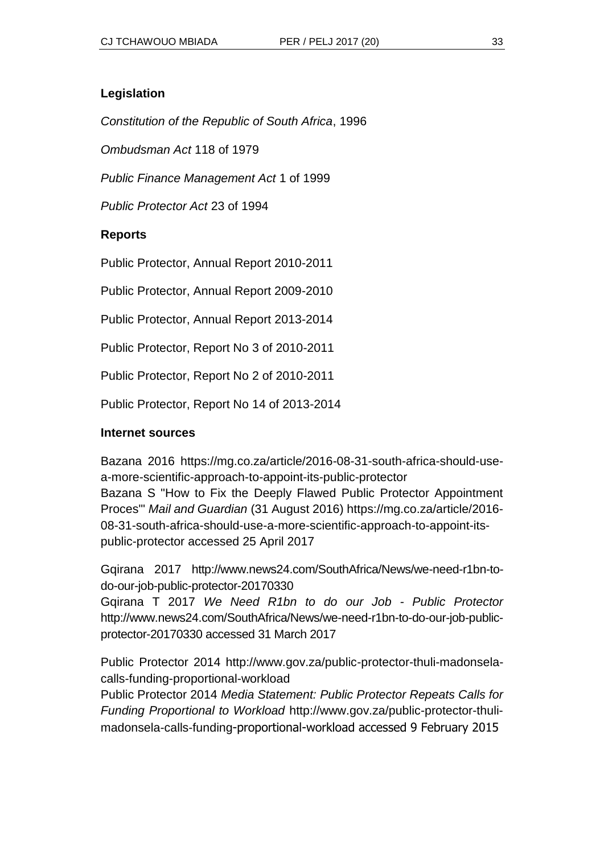#### **Legislation**

*Constitution of the Republic of South Africa*, 1996

*Ombudsman Act* 118 of 1979

*Public Finance Management Act* 1 of 1999

*Public Protector Act* 23 of 1994

#### **Reports**

Public Protector, Annual Report 2010-2011

Public Protector, Annual Report 2009-2010

Public Protector, Annual Report 2013-2014

Public Protector, Report No 3 of 2010-2011

Public Protector, Report No 2 of 2010-2011

Public Protector, Report No 14 of 2013-2014

#### **Internet sources**

Bazana 2016 https://mg.co.za/article/2016-08-31-south-africa-should-usea-more-scientific-approach-to-appoint-its-public-protector Bazana S "How to Fix the Deeply Flawed Public Protector Appointment Proces"' *Mail and Guardian* (31 August 2016) https://mg.co.za/article/2016- 08-31-south-africa-should-use-a-more-scientific-approach-to-appoint-itspublic-protector accessed 25 April 2017

Gqirana 2017 http://www.news24.com/SouthAfrica/News/we-need-r1bn-todo-our-job-public-protector-20170330

Gqirana T 2017 *We Need R1bn to do our Job - Public Protector* http://www.news24.com/SouthAfrica/News/we-need-r1bn-to-do-our-job-publicprotector-20170330 accessed 31 March 2017

Public Protector 2014 http://www.gov.za/public-protector-thuli-madonselacalls-funding-proportional-workload

Public Protector 2014 *Media Statement: Public Protector Repeats Calls for Funding Proportional to Workload* http://www.gov.za/public-protector-thulimadonsela-calls-funding-proportional-workload accessed 9 February 2015